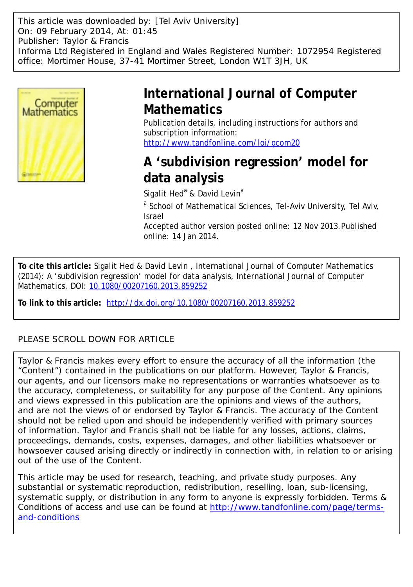This article was downloaded by: [Tel Aviv University] On: 09 February 2014, At: 01:45 Publisher: Taylor & Francis Informa Ltd Registered in England and Wales Registered Number: 1072954 Registered office: Mortimer House, 37-41 Mortimer Street, London W1T 3JH, UK



# **International Journal of Computer Mathematics**

Publication details, including instructions for authors and subscription information: <http://www.tandfonline.com/loi/gcom20>

# **A 'subdivision regression' model for data analysis**

Sigalit Hed<sup>a</sup> & David Levin<sup>a</sup>

<sup>a</sup> School of Mathematical Sciences, Tel-Aviv University, Tel Aviv, Israel

Accepted author version posted online: 12 Nov 2013.Published online: 14 Jan 2014.

**To cite this article:** Sigalit Hed & David Levin , International Journal of Computer Mathematics (2014): A 'subdivision regression' model for data analysis, International Journal of Computer Mathematics, DOI: [10.1080/00207160.2013.859252](http://www.tandfonline.com/action/showCitFormats?doi=10.1080/00207160.2013.859252)

**To link to this article:** <http://dx.doi.org/10.1080/00207160.2013.859252>

# PLEASE SCROLL DOWN FOR ARTICLE

Taylor & Francis makes every effort to ensure the accuracy of all the information (the "Content") contained in the publications on our platform. However, Taylor & Francis, our agents, and our licensors make no representations or warranties whatsoever as to the accuracy, completeness, or suitability for any purpose of the Content. Any opinions and views expressed in this publication are the opinions and views of the authors, and are not the views of or endorsed by Taylor & Francis. The accuracy of the Content should not be relied upon and should be independently verified with primary sources of information. Taylor and Francis shall not be liable for any losses, actions, claims, proceedings, demands, costs, expenses, damages, and other liabilities whatsoever or howsoever caused arising directly or indirectly in connection with, in relation to or arising out of the use of the Content.

This article may be used for research, teaching, and private study purposes. Any substantial or systematic reproduction, redistribution, reselling, loan, sub-licensing, systematic supply, or distribution in any form to anyone is expressly forbidden. Terms & Conditions of access and use can be found at [http://www.tandfonline.com/page/terms](http://www.tandfonline.com/page/terms-and-conditions)[and-conditions](http://www.tandfonline.com/page/terms-and-conditions)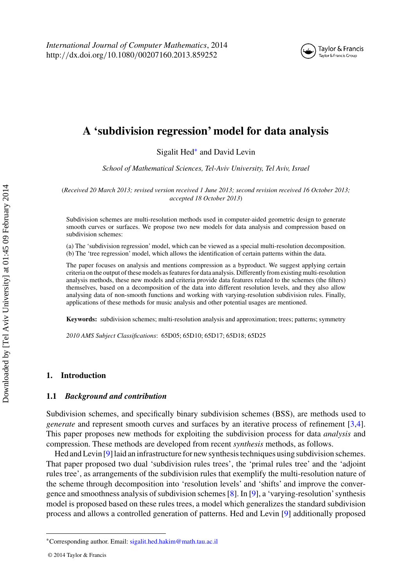

# **A 'subdivision regression' model for data analysis**

Sigalit Hed<sup>∗</sup> and David Levin

*School of Mathematical Sciences, Tel-Aviv University, Tel Aviv, Israel*

(*Received 20 March 2013; revised version received 1 June 2013; second revision received 16 October 2013; accepted 18 October 2013*)

Subdivision schemes are multi-resolution methods used in computer-aided geometric design to generate smooth curves or surfaces. We propose two new models for data analysis and compression based on subdivision schemes:

(a) The 'subdivision regression' model, which can be viewed as a special multi-resolution decomposition. (b) The 'tree regression' model, which allows the identification of certain patterns within the data.

The paper focuses on analysis and mentions compression as a byproduct. We suggest applying certain criteria on the output of these models as features for data analysis. Differently from existing multi-resolution analysis methods, these new models and criteria provide data features related to the schemes (the filters) themselves, based on a decomposition of the data into different resolution levels, and they also allow analysing data of non-smooth functions and working with varying-resolution subdivision rules. Finally, applications of these methods for music analysis and other potential usages are mentioned.

**Keywords:** subdivision schemes; multi-resolution analysis and approximation; trees; patterns; symmetry

*2010 AMS Subject Classifications*: 65D05; 65D10; 65D17; 65D18; 65D25

#### **1. Introduction**

#### **1.1** *Background and contribution*

Subdivision schemes, and specifically binary subdivision schemes (BSS), are methods used to *generate* and represent smooth curves and surfaces by an iterative process of refinement [\[3,4](#page-30-0)]. This paper proposes new methods for exploiting the subdivision process for data *analysis* and compression. These methods are developed from recent *synthesis* methods, as follows.

Hed and Levin [\[9](#page-30-0)] laid an infrastructure for new synthesis techniques using subdivision schemes. That paper proposed two dual 'subdivision rules trees', the 'primal rules tree' and the 'adjoint rules tree', as arrangements of the subdivision rules that exemplify the multi-resolution nature of the scheme through decomposition into 'resolution levels' and 'shifts' and improve the convergence and smoothness analysis of subdivision schemes [\[8\]](#page-30-0). In [\[9\]](#page-30-0), a 'varying-resolution'synthesis model is proposed based on these rules trees, a model which generalizes the standard subdivision process and allows a controlled generation of patterns. Hed and Levin [\[9\]](#page-30-0) additionally proposed

<sup>∗</sup>Corresponding author. Email: [sigalit.hed.hakim@math.tau.ac.il](mailto:sigalit.hed.hakim@math.tau.ac.il)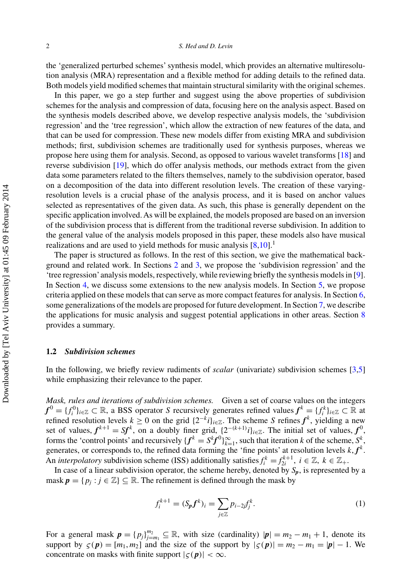#### <span id="page-2-0"></span>2 *S. Hed and D. Levin*

the 'generalized perturbed schemes' synthesis model, which provides an alternative multiresolution analysis (MRA) representation and a flexible method for adding details to the refined data. Both models yield modified schemes that maintain structural similarity with the original schemes.

In this paper, we go a step further and suggest using the above properties of subdivision schemes for the analysis and compression of data, focusing here on the analysis aspect. Based on the synthesis models described above, we develop respective analysis models, the 'subdivision regression' and the 'tree regression', which allow the extraction of new features of the data, and that can be used for compression. These new models differ from existing MRA and subdivision methods; first, subdivision schemes are traditionally used for synthesis purposes, whereas we propose here using them for analysis. Second, as opposed to various wavelet transforms [\[18\]](#page-30-0) and reverse subdivision [\[19\]](#page-30-0), which do offer analysis methods, our methods extract from the given data some parameters related to the filters themselves, namely to the subdivision operator, based on a decomposition of the data into different resolution levels. The creation of these varyingresolution levels is a crucial phase of the analysis process, and it is based on anchor values selected as representatives of the given data. As such, this phase is generally dependent on the specific application involved. As will be explained, the models proposed are based on an inversion of the subdivision process that is different from the traditional reverse subdivision. In addition to the general value of the analysis models proposed in this paper, these models also have musical realizations and are used to yield methods for music analysis  $[8,10]$ .<sup>1</sup>

The paper is structured as follows. In the rest of this section, we give the mathematical background and related work. In Sections [2](#page-5-0) and [3,](#page-10-0) we propose the 'subdivision regression' and the 'tree regression'analysis models, respectively, while reviewing briefly the synthesis models in [\[9](#page-30-0)]. In Section [4,](#page-15-0) we discuss some extensions to the new analysis models. In Section [5,](#page-19-0) we propose criteria applied on these models that can serve as more compact features for analysis. In Section [6,](#page-21-0) some generalizations of the models are proposed for future development. In Section [7,](#page-26-0) we describe the applications for music analysis and suggest potential applications in other areas. Section [8](#page-29-0) provides a summary.

# **1.2** *Subdivision schemes*

In the following, we briefly review rudiments of *scalar* (univariate) subdivision schemes [\[3,5\]](#page-30-0) while emphasizing their relevance to the paper.

*Mask, rules and iterations of subdivision schemes.* Given a set of coarse values on the integers *f*<sup>0</sup> = { $f_i^0$ }<sub>*i*∈Z</sub> ⊂ R, a BSS operator *S* recursively generates refined values  $f^k = {f_i^k}$ <sub>*i*</sub>∈Z ⊂ R at refined resolution levels  $k \geq 0$  on the grid  $\{2^{-k}i\}_{i \in \mathbb{Z}}$ . The scheme *S* refines  $f^k$ , yielding a new set of values,  $f^{k+1} = Sf^k$ , on a doubly finer grid,  $\{2^{-(k+1)}i\}_{i\in\mathbb{Z}}$ . The initial set of values,  $f^0$ , forms the 'control points' and recursively  $\{f^k = S^k f^0\}_{k=1}^\infty$ , such that iteration *k* of the scheme,  $S^k$ , generates, or corresponds to, the refined data forming the 'fine points' at resolution levels  $k, f<sup>k</sup>$ . An *interpolatory* subdivision scheme (ISS) additionally satisfies  $f_i^k = f_{2i}^{k+1}$ ,  $i \in \mathbb{Z}$ ,  $k \in \mathbb{Z}_+$ .

In case of a linear subdivision operator, the scheme hereby, denoted by  $S_p$ , is represented by a mask  $p = \{p_i : j \in \mathbb{Z}\}\subseteq \mathbb{R}$ . The refinement is defined through the mask by

$$
f_i^{k+1} = (S_p f^k)_i = \sum_{j \in \mathbb{Z}} p_{i-2j} f_j^k.
$$
 (1)

For a general mask  $p = {p_j}_{j=m_1}^{m_2} \subseteq \mathbb{R}$ , with size (cardinality)  $|p| = m_2 - m_1 + 1$ , denote its support by  $\zeta(p) = [m_1, m_2]$  and the size of the support by  $|\zeta(p)| = m_2 - m_1 = |p| - 1$ . We concentrate on masks with finite support  $|\zeta(\boldsymbol{p})| < \infty$ .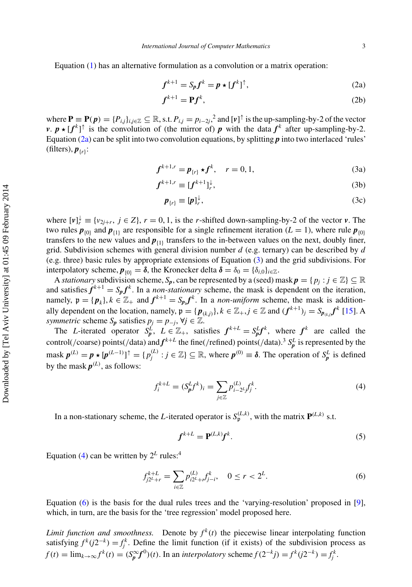<span id="page-3-0"></span>Equation [\(1\)](#page-2-0) has an alternative formulation as a convolution or a matrix operation:

$$
f^{k+1} = S_p f^k = p \star [f^k]^\uparrow,
$$
\n(2a)

$$
f^{k+1} = \mathbf{P}f^k,\tag{2b}
$$

where  $P \equiv P(p) = {P_{i,j}}_{i,j \in \mathbb{Z}} \subseteq \mathbb{R}$ , s.t.  $P_{i,j} = p_{i-2j}$ , 2 and  $[v]$ <sup> $\uparrow$ </sup> is the up-sampling-by-2 of the vector *v*.  $p \star [f^k]^{\uparrow}$  is the convolution of (the mirror of) *p* with the data  $f^k$  after up-sampling-by-2. Equation (2a) can be split into two convolution equations, by splitting  $p$  into two interlaced 'rules' (filters),  $p_{\{r\}}$ :

$$
f^{k+1,r} = p_{\{r\}} \star f^k, \quad r = 0, 1,
$$
\n(3a)

$$
f^{k+1,r} \equiv [f^{k+1}]_r^{\downarrow},\tag{3b}
$$

$$
\boldsymbol{p}_{\{r\}} \equiv [\boldsymbol{p}]_r^{\downarrow},\tag{3c}
$$

where  $[v]_r^{\downarrow} \equiv \{v_{2j+r}, j \in \mathbb{Z}\}, r = 0, 1$ , is the *r*-shifted down-sampling-by-2 of the vector *v*. The two rules  $p_{(0)}$  and  $p_{(1)}$  are responsible for a single refinement iteration ( $L = 1$ ), where rule  $p_{(0)}$ transfers to the new values and  $p_{(1)}$  transfers to the in-between values on the next, doubly finer, grid. Subdivision schemes with general division number *d* (e.g. ternary) can be described by *d* (e.g. three) basic rules by appropriate extensions of Equation (3) and the grid subdivisions. For interpolatory scheme,  $\boldsymbol{p}_{\{0\}} = \boldsymbol{\delta}$ , the Kronecker delta  $\boldsymbol{\delta} = \delta_0 = {\delta_{i,0}}_{i \in \mathbb{Z}}$ .

A *stationary* subdivision scheme,  $S_p$ , can be represented by a (seed) mask  $p = \{p_j : j \in \mathbb{Z}\} \subseteq \mathbb{R}$ and satisfies  $f^{k+1} = S_p f^k$ . In a *non-stationary* scheme, the mask is dependent on the iteration, namely,  $\mathfrak{p} = {\{p_k\}}, k \in \mathbb{Z}_+$  and  $f^{k+1} = S_{p_k}f^k$ . In a *non-uniform* scheme, the mask is additionally dependent on the location, namely,  $\mathfrak{p} = \{p_{(k,j)}\}, k \in \mathbb{Z}_+, j \in \mathbb{Z}$  and  $(f^{k+1})_j = S_{p_{(k,j)}} f^k$  [\[15](#page-30-0)]. A *symmetric* scheme *S*<sup>*p*</sup> satisfies  $p_j = p_{-j}$ ,  $\forall j \in \mathbb{Z}$ .

The *L*-iterated operator  $S_p^{\vec{L}}$ ,  $L \in \mathbb{Z}_+$ , satisfies  $f^{k+L} = S_p^L f^k$ , where  $f^k$  are called the control(/coarse) points(/data) and  $f^{k+L}$  the fine(/refined) points(/data).<sup>3</sup>  $S_p^L$  is represented by the mask  $p^{(L)} = p \star [p^{(L-1)}]^\uparrow = \{p_j^{(L)} : j \in \mathbb{Z}\} \subseteq \mathbb{R}$ , where  $p^{(0)} \equiv \delta$ . The operation of  $S_p^L$  is defined by the mask  $p^{(L)}$ , as follows:

$$
f_i^{k+L} = (S_p^L f^k)_i = \sum_{j \in \mathbb{Z}} p_{i-2^L j}^{(L)} f_j^k.
$$
 (4)

In a non-stationary scheme, the *L*-iterated operator is  $S_{\mathfrak{p}}^{(L,k)}$ , with the matrix  $\mathbf{P}^{(L,k)}$  s.t.

$$
f^{k+L} = \mathbf{P}^{(L,k)} f^k. \tag{5}
$$

Equation (4) can be written by  $2^L$  rules:<sup>4</sup>

$$
f_{j2^{L}+r}^{k+L} = \sum_{i \in \mathbb{Z}} p_{i2^{L}+r}^{(L)} f_{j-i}^{k}, \quad 0 \le r < 2^{L}.\tag{6}
$$

Equation (6) is the basis for the dual rules trees and the 'varying-resolution' proposed in [\[9](#page-30-0)], which, in turn, are the basis for the 'tree regression' model proposed here.

*Limit function and smoothness.* Denote by  $f^k(t)$  the piecewise linear interpolating function satisfying  $f^k(j2^{-k}) = f_j^k$ . Define the limit function (if it exists) of the subdivision process as  $f(t) = \lim_{k \to \infty} f^k(t) = (S_p^{\infty} f^0)(t)$ . In an *interpolatory* scheme  $f(2^{-k}j) = f^k(j2^{-k}) = f^k_j$ .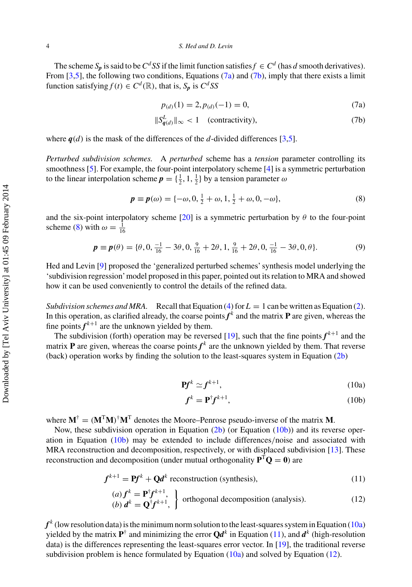<span id="page-4-0"></span>The scheme  $S_p$  is said to be  $C^d S S$  if the limit function satisfies  $f \in C^d$  (has *d* smooth derivatives). From [\[3,5](#page-30-0)], the following two conditions, Equations (7a) and (7b), imply that there exists a limit function satisfying  $f(t) \in C^d(\mathbb{R})$ , that is,  $S_p$  is  $C^dSS$ 

$$
p_{(d)}(1) = 2, p_{(d)}(-1) = 0,\t\t(7a)
$$

$$
||S_{q(d)}^{L}||_{\infty} < 1 \quad \text{(contractivity)},\tag{7b}
$$

where  $q(d)$  is the mask of the differences of the *d*-divided differences [\[3,5\]](#page-30-0).

*Perturbed subdivision schemes.* A *perturbed* scheme has a *tension* parameter controlling its smoothness [\[5](#page-30-0)]. For example, the four-point interpolatory scheme [\[4](#page-30-0)] is a symmetric perturbation to the linear interpolation scheme  $p = \{\frac{1}{2}, 1, \frac{1}{2}\}\$  by a tension parameter  $\omega$ 

$$
\mathbf{p} \equiv \mathbf{p}(\omega) = \{-\omega, 0, \frac{1}{2} + \omega, 1, \frac{1}{2} + \omega, 0, -\omega\},\tag{8}
$$

and the six-point interpolatory scheme [\[20](#page-30-0)] is a symmetric perturbation by *θ* to the four-point scheme (8) with  $\omega = \frac{1}{16}$ 

$$
\mathbf{p} \equiv \mathbf{p}(\theta) = \{ \theta, 0, \frac{-1}{16} - 3\theta, 0, \frac{9}{16} + 2\theta, 1, \frac{9}{16} + 2\theta, 0, \frac{-1}{16} - 3\theta, 0, \theta \}. \tag{9}
$$

Hed and Levin [\[9](#page-30-0)] proposed the 'generalized perturbed schemes' synthesis model underlying the 'subdivision regression'model proposed in this paper, pointed out its relation to MRA and showed how it can be used conveniently to control the details of the refined data.

*Subdivision schemes and MRA.* Recall that Equation [\(4\)](#page-3-0) for  $L = 1$  can be written as Equation [\(2\)](#page-3-0). In this operation, as clarified already, the coarse points  $f<sup>k</sup>$  and the matrix **P** are given, whereas the fine points  $f^{k+1}$  are the unknown yielded by them.

The subdivision (forth) operation may be reversed [\[19\]](#page-30-0), such that the fine points  $f^{k+1}$  and the matrix **P** are given, whereas the coarse points  $f^k$  are the unknown yielded by them. That reverse (back) operation works by finding the solution to the least-squares system in Equation [\(2b\)](#page-3-0)

$$
\mathbf{P} \mathbf{f}^k \simeq \mathbf{f}^{k+1},\tag{10a}
$$

$$
f^k = \mathbf{P}^\dagger f^{k+1},\tag{10b}
$$

where  $M^{\dagger} = (M^{\mathrm{T}}M)^{\dagger}M^{\mathrm{T}}$  denotes the Moore–Penrose pseudo-inverse of the matrix M.

Now, these subdivision operation in Equation  $(2b)$  (or Equation  $(10b)$ ) and its reverse operation in Equation (10b) may be extended to include differences*/*noise and associated with MRA reconstruction and decomposition, respectively, or with displaced subdivision [\[13\]](#page-30-0). These reconstruction and decomposition (under mutual orthogonality  $P^{T}Q = 0$ ) are

$$
f^{k+1} = \mathbf{P}f^k + \mathbf{Q}d^k
$$
 reconstruction (synthesis), (11)

$$
(a) fk = P\daggerfk+1,(b) dk = Q\daggerfk+1, (12)
$$
 orthogonal decomposition (analysis). (12)

 $f^k$  (low resolution data) is the minimum norm solution to the least-squares system in Equation (10a) yielded by the matrix  $P^{\dagger}$  and minimizing the error  $Qd^k$  in Equation (11), and  $d^k$  (high-resolution data) is the differences representing the least-squares error vector. In [\[19](#page-30-0)], the traditional reverse subdivision problem is hence formulated by Equation  $(10a)$  and solved by Equation (12).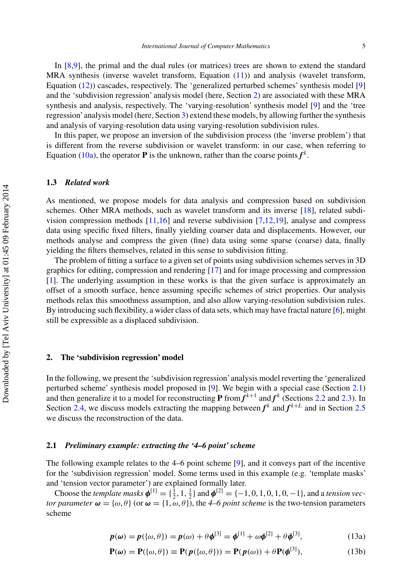<span id="page-5-0"></span>In [\[8,9](#page-30-0)], the primal and the dual rules (or matrices) trees are shown to extend the standard MRA synthesis (inverse wavelet transform, Equation [\(11\)](#page-4-0)) and analysis (wavelet transform, Equation [\(12\)](#page-4-0)) cascades, respectively. The 'generalized perturbed schemes' synthesis model [\[9\]](#page-30-0) and the 'subdivision regression' analysis model (here, Section 2) are associated with these MRA synthesis and analysis, respectively. The 'varying-resolution' synthesis model [\[9](#page-30-0)] and the 'tree regression'analysis model (here, Section [3\)](#page-10-0) extend these models, by allowing further the synthesis and analysis of varying-resolution data using varying-resolution subdivision rules.

In this paper, we propose an inversion of the subdivision process (the 'inverse problem') that is different from the reverse subdivision or wavelet transform: in our case, when referring to Equation [\(10a\)](#page-4-0), the operator **P** is the unknown, rather than the coarse points  $f^k$ .

# **1.3** *Related work*

As mentioned, we propose models for data analysis and compression based on subdivision schemes. Other MRA methods, such as wavelet transform and its inverse [\[18](#page-30-0)], related subdivision compression methods [\[11,16](#page-30-0)] and reverse subdivision [\[7,12,19\]](#page-30-0), analyse and compress data using specific fixed filters, finally yielding coarser data and displacements. However, our methods analyse and compress the given (fine) data using some sparse (coarse) data, finally yielding the filters themselves, related in this sense to subdivision fitting.

The problem of fitting a surface to a given set of points using subdivision schemes serves in 3D graphics for editing, compression and rendering [\[17](#page-30-0)] and for image processing and compression [\[1\]](#page-30-0). The underlying assumption in these works is that the given surface is approximately an offset of a smooth surface, hence assuming specific schemes of strict properties. Our analysis methods relax this smoothness assumption, and also allow varying-resolution subdivision rules. By introducing such flexibility, a wider class of data sets, which may have fractal nature [\[6](#page-30-0)], might still be expressible as a displaced subdivision.

#### **2. The 'subdivision regression' model**

In the following, we present the 'subdivision regression'analysis model reverting the 'generalized perturbed scheme' synthesis model proposed in [\[9\]](#page-30-0). We begin with a special case (Section 2.1) and then generalize it to a model for reconstructing **P** from  $f^{k+1}$  and  $f^k$  (Sections [2.2](#page-6-0) and [2.3\)](#page-7-0). In Section [2.4,](#page-8-0) we discuss models extracting the mapping between  $f^k$  and  $f^{k+L}$  and in Section [2.5](#page-10-0) we discuss the reconstruction of the data.

# **2.1** *Preliminary example: extracting the '4–6 point' scheme*

The following example relates to the 4–6 point scheme [\[9](#page-30-0)], and it conveys part of the incentive for the 'subdivision regression' model. Some terms used in this example (e.g. 'template masks' and 'tension vector parameter') are explained formally later.

Choose the *template masks*  $\phi^{[1]} = {\frac{1}{2}, 1, \frac{1}{2}}$  and  $\phi^{[2]} = \{-1, 0, 1, 0, 1, 0, -1\}$ , and a *tension vector parameter*  $\omega = {\omega, \theta}$  (or  $\omega = {1, \omega, \theta}$ ), the 4–6 *point scheme* is the two-tension parameters scheme

$$
p(\omega) = p(\{\omega, \theta\}) = p(\omega) + \theta \phi^{[3]} = \phi^{[1]} + \omega \phi^{[2]} + \theta \phi^{[3]},
$$
(13a)

$$
\mathbf{P}(\omega) = \mathbf{P}(\{\omega, \theta\}) \equiv \mathbf{P}(\mathbf{p}(\{\omega, \theta\})) = \mathbf{P}(\mathbf{p}(\omega)) + \theta \mathbf{P}(\mathbf{\phi}^{[3]}),
$$
\n(13b)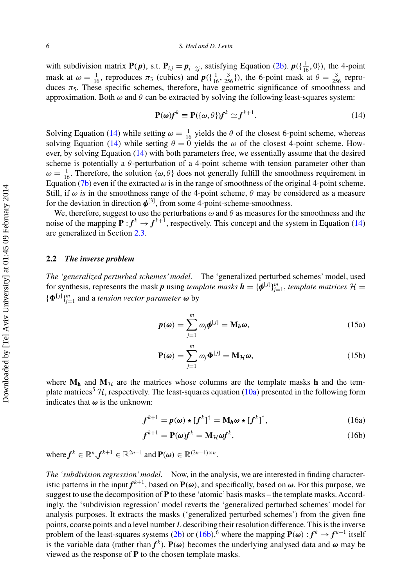#### <span id="page-6-0"></span>6 *S. Hed and D. Levin*

with subdivision matrix  $P(p)$ , s.t.  $P_{i,j} = p_{i-2j}$ , satisfying Equation [\(2b\)](#page-3-0).  $p(\{\frac{1}{16}, 0\})$ , the 4-point mask at  $\omega = \frac{1}{16}$ , reproduces  $\pi_3$  (cubics) and  $p(\{\frac{1}{16}, \frac{3}{256}\})$ , the 6-point mask at  $\theta = \frac{3}{256}$  reproduces  $\pi_5$ . These specific schemes, therefore, have geometric significance of smoothness and approximation. Both  $\omega$  and  $\theta$  can be extracted by solving the following least-squares system:

$$
\mathbf{P}(\omega)\mathbf{f}^k \equiv \mathbf{P}(\{\omega,\theta\})\mathbf{f}^k \simeq \mathbf{f}^{k+1}.\tag{14}
$$

Solving Equation (14) while setting  $\omega = \frac{1}{16}$  yields the  $\theta$  of the closest 6-point scheme, whereas solving Equation (14) while setting  $\theta = 0$  yields the  $\omega$  of the closest 4-point scheme. However, by solving Equation (14) with both parameters free, we essentially assume that the desired scheme is potentially a *θ*-perturbation of a 4-point scheme with tension parameter other than  $\omega = \frac{1}{16}$ . Therefore, the solution  $\{\omega, \theta\}$  does not generally fulfill the smoothness requirement in Equation [\(7b\)](#page-4-0) even if the extracted  $\omega$  is in the range of smoothness of the original 4-point scheme. Still, if  $\omega$  *is* in the smoothness range of the 4-point scheme,  $\theta$  may be considered as a measure for the deviation in direction  $\phi^{[3]}$ , from some 4-point-scheme-smoothness.

We, therefore, suggest to use the perturbations  $\omega$  and  $\theta$  as measures for the smoothness and the noise of the mapping  $P: f^k \to f^{k+1}$ , respectively. This concept and the system in Equation (14) are generalized in Section [2.3.](#page-7-0)

#### **2.2** *The inverse problem*

*The 'generalized perturbed schemes' model.* The 'generalized perturbed schemes' model, used for synthesis, represents the mask *p* using *template masks*  $h = {\phi^{[j]}}_{j=1}^m$ , *template matrices*  $H =$  $\{\mathbf{\Phi}^{[j]}\}_{j=1}^m$  and a *tension vector parameter*  $\boldsymbol{\omega}$  by

$$
p(\omega) = \sum_{j=1}^{m} \omega_j \phi^{[j]} = \mathbf{M}_h \omega,
$$
 (15a)

$$
\mathbf{P}(\boldsymbol{\omega}) = \sum_{j=1}^{m} \omega_j \mathbf{\Phi}^{[j]} = \mathbf{M}_{\mathcal{H}} \boldsymbol{\omega},
$$
 (15b)

where  $M_h$  and  $M_{\mathcal{H}}$  are the matrices whose columns are the template masks **h** and the template matrices<sup>5</sup> H, respectively. The least-squares equation  $(10a)$  presented in the following form indicates that  $\omega$  is the unknown:

$$
f^{k+1} = p(\omega) \star [f^k]^{\uparrow} = M_h \omega \star [f^k]^{\uparrow}, \qquad (16a)
$$

$$
f^{k+1} = \mathbf{P}(\omega)f^k = \mathbf{M}_{\mathcal{H}}\omega f^k, \tag{16b}
$$

where  $f^k \in \mathbb{R}^n$ ,  $f^{k+1} \in \mathbb{R}^{2n-1}$  and  $\mathbf{P}(\omega) \in \mathbb{R}^{(2n-1)\times n}$ .

*The 'subdivision regression'model.* Now, in the analysis, we are interested in finding characteristic patterns in the input  $f^{k+1}$ , based on  $P(\omega)$ , and specifically, based on  $\omega$ . For this purpose, we suggest to use the decomposition of **P** to these 'atomic'basis masks – the template masks. Accordingly, the 'subdivision regression' model reverts the 'generalized perturbed schemes' model for analysis purposes. It extracts the masks ('generalized perturbed schemes') from the given fine points, coarse points and a level number *L* describing their resolution difference. This is the inverse problem of the least-squares systems [\(2b\)](#page-3-0) or (16b),<sup>6</sup> where the mapping  $P(\omega)$  :  $f^k \rightarrow f^{k+1}$  itself is the variable data (rather than  $f^k$ ).  $P(\omega)$  becomes the underlying analysed data and  $\omega$  may be viewed as the response of **P** to the chosen template masks.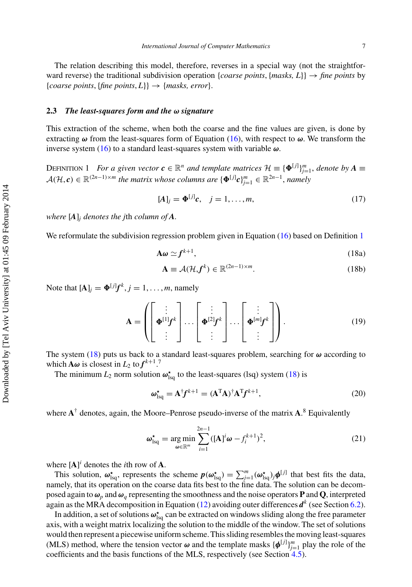<span id="page-7-0"></span>The relation describing this model, therefore, reverses in a special way (not the straightforward reverse) the traditional subdivision operation {*coarse points*, {*masks, L*}}  $\rightarrow$  *fine points* by  ${coarse points, {fine points, L}} \rightarrow {masks, error}.$ 

## **2.3** *The least-squares form and the ω signature*

This extraction of the scheme, when both the coarse and the fine values are given, is done by extracting *ω* from the least-squares form of Equation [\(16\)](#page-6-0), with respect to *ω*. We transform the inverse system [\(16\)](#page-6-0) to a standard least-squares system with variable *ω*.

DEFINITION 1 *For a given vector*  $c \in \mathbb{R}^n$  *and template matrices*  $\mathcal{H} \equiv {\{\mathbf{\Phi}^{[j]}\}}_{j=1}^m$ *, denote by*  $A \equiv$  $A(\mathcal{H}, c) \in \mathbb{R}^{(2n-1)\times m}$  the matrix whose columns are  $\{\mathbf{\Phi}^{[j]}c\}_{j=1}^m \in \mathbb{R}^{2n-1}$ , namely

$$
[A]_j = \Phi^{[j]}c, \quad j = 1, \dots, m,
$$
\n<sup>(17)</sup>

*where*  $[A]$ *j denotes the j*th *column of*  $A$ *.* 

We reformulate the subdivision regression problem given in Equation [\(16\)](#page-6-0) based on Definition 1

$$
\mathbf{A}\boldsymbol{\omega} \simeq \boldsymbol{f}^{k+1},\tag{18a}
$$

$$
\mathbf{A} \equiv \mathcal{A}(\mathcal{H}, \mathbf{f}^k) \in \mathbb{R}^{(2n-1)\times m}.
$$
 (18b)

Note that  $[\mathbf{A}]_j = \mathbf{\Phi}^{[j]} \mathbf{f}^k, j = 1, \dots, m$ , namely

$$
\mathbf{A} = \left( \left[ \boldsymbol{\Phi}^{[1]} \boldsymbol{f}^{k} \right] \dots \left[ \boldsymbol{\Phi}^{[2]} \boldsymbol{f}^{k} \right] \dots \left[ \boldsymbol{\Phi}^{[m]} \boldsymbol{f}^{k} \right] \right). \tag{19}
$$

The system (18) puts us back to a standard least-squares problem, searching for *ω* according to which  $\mathbf{A}\boldsymbol{\omega}$  is closest in  $L_2$  to  $f^{k+1}$ .<sup>7</sup>

The minimum  $L_2$  norm solution  $\boldsymbol{\omega}_{\text{lsq}}^{\star}$  to the least-squares (lsq) system (18) is

$$
\boldsymbol{\omega}_{\text{lsq}}^{\star} = \mathbf{A}^{\dagger} \boldsymbol{f}^{k+1} = (\mathbf{A}^{\text{T}} \mathbf{A})^{\dagger} \mathbf{A}^{\text{T}} \boldsymbol{f}^{k+1},\tag{20}
$$

where  $A^{\dagger}$  denotes, again, the Moore–Penrose pseudo-inverse of the matrix  $A$ .<sup>8</sup> Equivalently

$$
\boldsymbol{\omega}_{\text{lsq}}^{\star} = \underset{\boldsymbol{\omega} \in \mathbb{R}^m}{\arg \min} \sum_{i=1}^{2n-1} ([\mathbf{A}]^i \boldsymbol{\omega} - f_i^{k+1})^2, \tag{21}
$$

where  $[A]$ <sup>*i*</sup> denotes the *i*th row of **A**.

This solution,  $\omega_{\text{lsq}}^{\star}$ , represents the scheme  $p(\omega_{\text{lsq}}^{\star}) = \sum_{j=1}^{m} (\omega_{\text{lsq}}^{\star})_j \phi^{[j]}$  that best fits the data, namely, that its operation on the coarse data fits best to the fine data. The solution can be decomposed again to  $\omega_p$  and  $\omega_q$  representing the smoothness and the noise operators **P** and **Q**, interpreted again as the MRA decomposition in Equation [\(12\)](#page-4-0) avoiding outer differences *d<sup>k</sup>* (see Section [6.2\)](#page-22-0).

In addition, a set of solutions  $\omega_{\text{lsq}}^{\star}$  can be extracted on windows sliding along the free parameter axis, with a weight matrix localizing the solution to the middle of the window. The set of solutions would then represent a piecewise uniform scheme. This sliding resembles the moving least-squares (MLS) method, where the tension vector  $\omega$  and the template masks  $\{\phi^{[j]}\}_{j=1}^m$  play the role of the coefficients and the basis functions of the MLS, respectively (see Section [4.5\)](#page-19-0).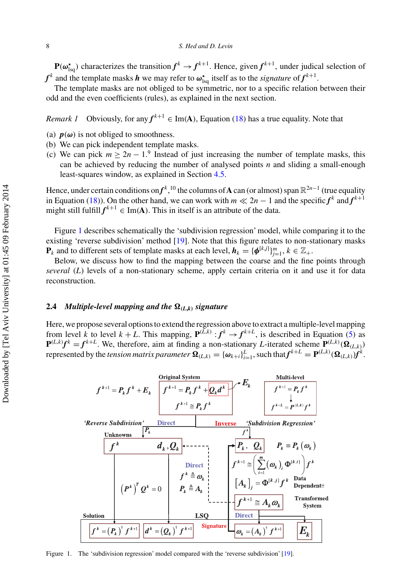<span id="page-8-0"></span> $P(\omega_{\text{lsq}}^{\star})$  characterizes the transition  $f^{k} \to f^{k+1}$ . Hence, given  $f^{k+1}$ , under judical selection of  $f^k$  and the template masks  $h$  we may refer to  $\omega_{\text{lsq}}^{\star}$  itself as to the *signature* of  $f^{k+1}$ .

The template masks are not obliged to be symmetric, nor to a specific relation between their odd and the even coefficients (rules), as explained in the next section.

*Remark 1* Obviously, for any  $f^{k+1} \in \text{Im}(\mathbf{A})$ , Equation [\(18\)](#page-7-0) has a true equality. Note that

- (a)  $p(\omega)$  is not obliged to smoothness.
- (b) We can pick independent template masks.
- (c) We can pick  $m \ge 2n 1$ .<sup>9</sup> Instead of just increasing the number of template masks, this can be achieved by reducing the number of analysed points *n* and sliding a small-enough least-squares window, as explained in Section [4.5.](#page-19-0)

Hence, under certain conditions on  $f^k$ , <sup>10</sup> the columns of **A** can (or almost) span  $\mathbb{R}^{2n-1}$  (true equality in Equation [\(18\)](#page-7-0)). On the other hand, we can work with  $m \ll 2n - 1$  and the specific  $f^k$  and  $f^{k+1}$ might still fulfill  $f^{k+1} \in \text{Im}(\mathbf{A})$ . This in itself is an attribute of the data.

Figure 1 describes schematically the 'subdivision regression' model, while comparing it to the existing 'reverse subdivision' method [\[19](#page-30-0)]. Note that this figure relates to non-stationary masks  $\mathbf{P}_k$  and to different sets of template masks at each level,  $\mathbf{h}_k = {\{\mathbf{\phi}^{[k,j]}\}}_{j=1}^m$ ,  $k \in \mathbb{Z}_+$ .

Below, we discuss how to find the mapping between the coarse and the fine points through *several* (*L*) levels of a non-stationary scheme, apply certain criteria on it and use it for data reconstruction.

# **2.4** *Multiple-level mapping and the*  $\Omega$ <sub>(*L*,*k*)</sub> *signature*

Here, we propose several options to extend the regression above to extract a multiple-level mapping from level *k* to level  $k + L$ . This mapping,  $P^{(\bar{L},k)}$  :  $f^k \to f^{k+L}$ , is described in Equation [\(5\)](#page-3-0) as  $\mathbf{P}^{(L,k)}f^k = f^{k+L}$ . We, therefore, aim at finding a non-stationary L-iterated scheme  $\mathbf{P}^{(L,k)}(\mathbf{\Omega}_{(L,k)})$ represented by the *tension matrix parameter*  $\Omega_{(L,k)} = {\omega_{k+i}}_{i=1}^L$ , such that  $f^{k+L} = P^{(L,k)}(\Omega_{(L,k)}) f^k$ .



Figure 1. The 'subdivision regression' model compared with the 'reverse subdivision' [\[19\]](#page-30-0).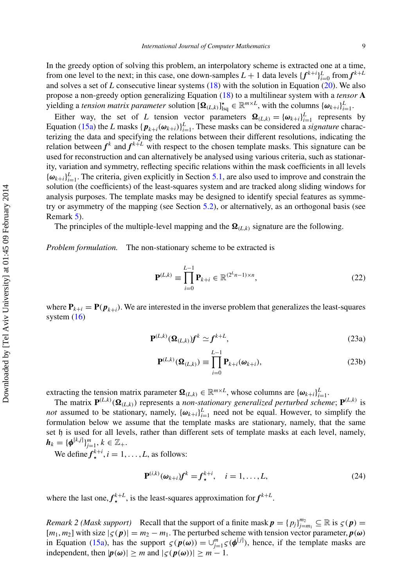<span id="page-9-0"></span>In the greedy option of solving this problem, an interpolatory scheme is extracted one at a time, from one level to the next; in this case, one down-samples  $L + 1$  data levels  $\{f^{k+i}\}_{i=0}^L$  from  $f^{k+L}$ and solves a set of *L* consecutive linear systems [\(18\)](#page-7-0) with the solution in Equation [\(20\)](#page-7-0). We also propose a non-greedy option generalizing Equation [\(18\)](#page-7-0) to a multilinear system with a *tensor* **A** yielding a *tension matrix parameter* solution  $[\mathbf{\Omega}_{(L,k)}]_{\text{lsq}}^{\star} \in \mathbb{R}^{m \times L}$ , with the columns  $\{\boldsymbol{\omega}_{k+i}\}_{i=1}^L$ .

Either way, the set of *L* tension vector parameters  $\mathbf{\Omega}_{(L,k)} = {\omega_{k+i}}_{i=1}^L$  represents by Equation [\(15a\)](#page-6-0) the *L* masks  $\{p_{k+i}(\omega_{k+i})\}_{i=1}^L$ . These masks can be considered a *signature* characterizing the data and specifying the relations between their different resolutions, indicating the relation between  $f^k$  and  $f^{k+L}$  with respect to the chosen template masks. This signature can be used for reconstruction and can alternatively be analysed using various criteria, such as stationarity, variation and symmetry, reflecting specific relations within the mask coefficients in all levels  ${\{\omega_{k+i}\}}_{i=1}^L$ . The criteria, given explicitly in Section [5.1,](#page-19-0) are also used to improve and constrain the solution (the coefficients) of the least-squares system and are tracked along sliding windows for analysis purposes. The template masks may be designed to identify special features as symmetry or asymmetry of the mapping (see Section [5.2\)](#page-21-0), or alternatively, as an orthogonal basis (see Remark [5\)](#page-15-0).

The principles of the multiple-level mapping and the  $\Omega_{(L,k)}$  signature are the following.

*Problem formulation.* The non-stationary scheme to be extracted is

$$
\mathbf{P}^{(L,k)} \equiv \prod_{i=0}^{L-1} \mathbf{P}_{k+i} \in \mathbb{R}^{(2^L n - 1) \times n},\tag{22}
$$

where  $P_{k+i} = P(p_{k+i})$ . We are interested in the inverse problem that generalizes the least-squares system [\(16\)](#page-6-0)

$$
\mathbf{P}^{(L,k)}(\mathbf{\Omega}_{(L,k)})f^k \simeq f^{k+L},\tag{23a}
$$

$$
\mathbf{P}^{(L,k)}(\mathbf{\Omega}_{(L,k)}) \equiv \prod_{i=0}^{L-1} \mathbf{P}_{k+i}(\boldsymbol{\omega}_{k+i}),
$$
\n(23b)

extracting the tension matrix parameter  $\Omega_{(L,k)} \in \mathbb{R}^{m \times L}$ , whose columns are  $\{\omega_{k+i}\}_{i=1}^L$ .

The matrix  $\mathbf{P}^{(L,k)}(\mathbf{\Omega}_{(L,k)})$  represents a *non-stationary generalized perturbed scheme*;  $\mathbf{P}^{(L,k)}$  is *not* assumed to be stationary, namely,  $\{\omega_{k+i}\}_{i=1}^L$  need not be equal. However, to simplify the formulation below we assume that the template masks are stationary, namely, that the same set h is used for all levels, rather than different sets of template masks at each level, namely,  $h_k = {\phi^{[k,j]}}_{j=1}^m, k \in \mathbb{Z}_+.$ 

We define  $f_{\star}^{k+i}$ ,  $i = 1, ..., L$ , as follows:

$$
\mathbf{P}^{(i,k)}(\boldsymbol{\omega}_{k+i})\mathbf{f}^k = \mathbf{f}_{\star}^{k+i}, \quad i = 1, \dots, L,
$$
\n(24)

where the last one,  $f_{\star}^{k+L}$ , is the least-squares approximation for  $f^{k+L}$ .

*Remark 2 (Mask support)* Recall that the support of a finite mask  $p = \{p_j\}_{j=m_1}^{m_2} \subseteq \mathbb{R}$  is  $\zeta(p) =$  $[m_1, m_2]$  with size  $|\zeta(\mathbf{p})| = m_2 - m_1$ . The perturbed scheme with tension vector parameter,  $\mathbf{p}(\omega)$ in Equation [\(15a\)](#page-6-0), has the support  $\varsigma(p(\omega)) = \bigcup_{j=1}^{m} \varsigma(\phi^{[j]})$ , hence, if the template masks are independent, then  $|p(\omega)| \ge m$  and  $|\zeta(p(\omega))| \ge m - 1$ .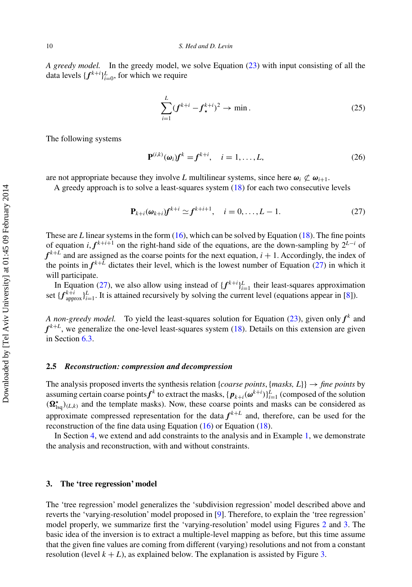<span id="page-10-0"></span>*A greedy model.* In the greedy model, we solve Equation [\(23\)](#page-9-0) with input consisting of all the data levels  $\{f^{k+i}\}_{i=0}^L$ , for which we require

$$
\sum_{i=1}^{L} (f^{k+i} - f^{k+i}_{\star})^2 \to \min.
$$
 (25)

The following systems

$$
\mathbf{P}^{(i,k)}(\boldsymbol{\omega}_i)\mathbf{f}^k = \mathbf{f}^{k+i}, \quad i = 1,\dots,L,\tag{26}
$$

are not appropriate because they involve *L* multilinear systems, since here  $\omega_i \not\subset \omega_{i+1}$ .

A greedy approach is to solve a least-squares system [\(18\)](#page-7-0) for each two consecutive levels

$$
\mathbf{P}_{k+i}(\omega_{k+i})f^{k+i} \simeq f^{k+i+1}, \quad i = 0, \dots, L-1.
$$
 (27)

These are *L* linear systems in the form [\(16\)](#page-6-0), which can be solved by Equation [\(18\)](#page-7-0). The fine points of equation *i*,  $f^{k+i+1}$  on the right-hand side of the equations, are the down-sampling by  $2^{L-i}$  of  $f^{k+L}$  and are assigned as the coarse points for the next equation,  $i + 1$ . Accordingly, the index of the points in  $f^{k+\overline{L}}$  dictates their level, which is the lowest number of Equation (27) in which it will participate.

In Equation (27), we also allow using instead of  ${f^{k+i}}_{i=1}^L$  their least-squares approximation set  $\{f_{\text{approx}}^{k+i} \}_{i=1}^L$ . It is attained recursively by solving the current level (equations appear in [\[8\]](#page-30-0)).

*A non-greedy model.* To yield the least-squares solution for Equation [\(23\)](#page-9-0), given only  $f^k$  and  $f^{k+L}$ , we generalize the one-level least-squares system [\(18\)](#page-7-0). Details on this extension are given in Section [6.3.](#page-24-0)

#### **2.5** *Reconstruction: compression and decompression*

The analysis proposed inverts the synthesis relation {*coarse points*, {*masks, L*}}  $\rightarrow$  *fine points* by assuming certain coarse points  $f^k$  to extract the masks,  $\{p_{k+i}(\omega^{k+i})\}_{i=1}^L$  (composed of the solution  $({\Omega}^{\star}_{\text{lsq}})_{(L,k)}$  and the template masks). Now, these coarse points and masks can be considered as approximate compressed representation for the data  $f^{k+L}$  and, therefore, can be used for the reconstruction of the fine data using Equation [\(16\)](#page-6-0) or Equation [\(18\)](#page-7-0).

In Section [4,](#page-15-0) we extend and add constraints to the analysis and in Example [1,](#page-17-0) we demonstrate the analysis and reconstruction, with and without constraints.

#### **3. The 'tree regression' model**

The 'tree regression' model generalizes the 'subdivision regression' model described above and reverts the 'varying-resolution' model proposed in [\[9](#page-30-0)]. Therefore, to explain the 'tree regression' model properly, we summarize first the 'varying-resolution' model using Figures [2](#page-11-0) and [3.](#page-12-0) The basic idea of the inversion is to extract a multiple-level mapping as before, but this time assume that the given fine values are coming from different (varying) resolutions and not from a constant resolution (level  $k + L$ ), as explained below. The explanation is assisted by Figure [3.](#page-12-0)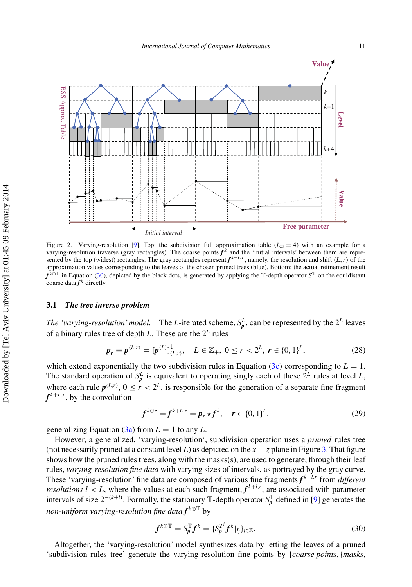<span id="page-11-0"></span>

Figure 2. Varying-resolution [\[9](#page-30-0)]. Top: the subdivision full approximation table  $(L_m = 4)$  with an example for a varying-resolution traverse (gray rectangles). The coarse points  $\hat{f}^k$  and the 'initial intervals' between them are represented by the top (widest) rectangles. The gray rectangles represent  $f^{k+L,r}$ , namely, the resolution and shift  $(L, r)$  of the approximation values corresponding to the leaves of the chosen pruned trees (blue). Bottom: the actual refinement result  $f^{k \oplus T}$  in Equation (30), depicted by the black dots, is generated by applying the T-depth operator  $S^T$  on the equidistant coarse data  $f^k$  directly.

#### **3.1** *The tree inverse problem*

*The 'varying-resolution' model.* The *L*-iterated scheme,  $S_p^L$ , can be represented by the  $2^L$  leaves of a binary rules tree of depth *L*. These are the 2*<sup>L</sup>* rules

$$
\boldsymbol{p}_r \equiv \boldsymbol{p}^{(L,r)} = [\boldsymbol{p}^{(L)}]_{(L,r)}^{\downarrow}, \quad L \in \mathbb{Z}_+, \ 0 \le r < 2^L, \ r \in \{0,1\}^L,\tag{28}
$$

which extend exponentially the two subdivision rules in Equation [\(3c\)](#page-3-0) corresponding to  $L = 1$ . The standard operation of  $S_p^L$  is equivalent to operating singly each of these  $2^L$  rules at level *L*, where each rule  $p^{(L,r)}$ ,  $0 \le r < 2^L$ , is responsible for the generation of a separate fine fragment  $f^{k+L,r}$ , by the convolution

$$
f^{k \oplus r} = f^{k+L,r} = p_r \star f^k, \quad r \in \{0,1\}^L, \tag{29}
$$

generalizing Equation  $(3a)$  from  $L = 1$  to any L.

However, a generalized, 'varying-resolution', subdivision operation uses a *pruned* rules tree (not necessarily pruned at a constant level L) as depicted on the  $x - z$  plane in Figure [3.](#page-12-0) That figure shows how the pruned rules trees, along with the masks(s), are used to generate, through their leaf rules, *varying-resolution fine data* with varying sizes of intervals, as portrayed by the gray curve. These 'varying-resolution' fine data are composed of various fine fragments *f <sup>k</sup>*+*l*,*<sup>r</sup>* from *different resolutions*  $l < L$ , where the values at each such fragment,  $f^{k+l,r}$ , are associated with parameter intervals of size  $2^{-(k+l)}$ . Formally, the stationary T-depth operator  $S_p^T$  defined in [\[9\]](#page-30-0) generates the *non-uniform varying-resolution fine data f <sup>k</sup>*⊕<sup>T</sup> by

$$
f^{k \oplus \mathbb{T}} = S_p^{\mathbb{T}} f^k = \{ S_p^{T^j} f^k |_{I_j} \}_{j \in \mathbb{Z}}.
$$
\n(30)

Altogether, the 'varying-resolution' model synthesizes data by letting the leaves of a pruned 'subdivision rules tree' generate the varying-resolution fine points by {*coarse points*,{*masks*,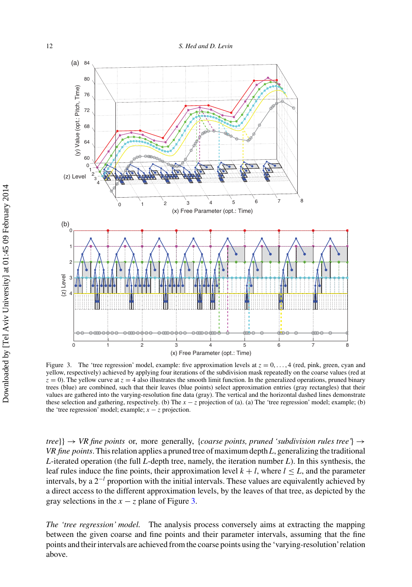<span id="page-12-0"></span>

Figure 3. The 'tree regression' model, example: five approximation levels at  $z = 0, \ldots, 4$  (red, pink, green, cyan and yellow, respectively) achieved by applying four iterations of the subdivision mask repeatedly on the coarse values (red at  $z = 0$ ). The yellow curve at  $z = 4$  also illustrates the smooth limit function. In the generalized operations, pruned binary trees (blue) are combined, such that their leaves (blue points) select approximation entries (gray rectangles) that their values are gathered into the varying-resolution fine data (gray). The vertical and the horizontal dashed lines demonstrate these selection and gathering, respectively. (b) The *x* − *z* projection of (a). (a) The 'tree regression' model; example; (b) the 'tree regression' model; example;  $x - z$  projection.

 $tree\}$   $\rightarrow$  *VR fine points* or, more generally, {*coarse points, pruned 'subdivision rules tree'*}  $\rightarrow$ *VR fine points*. This relation applies a pruned tree of maximum depth *L*, generalizing the traditional *L*-iterated operation (the full *L*-depth tree, namely, the iteration number *L*). In this synthesis, the leaf rules induce the fine points, their approximation level  $k + l$ , where  $l \leq L$ , and the parameter intervals, by a 2<sup>−</sup>*<sup>l</sup>* proportion with the initial intervals. These values are equivalently achieved by a direct access to the different approximation levels, by the leaves of that tree, as depicted by the gray selections in the  $x - z$  plane of Figure 3.

*The 'tree regression' model.* The analysis process conversely aims at extracting the mapping between the given coarse and fine points and their parameter intervals, assuming that the fine points and their intervals are achieved from the coarse points using the 'varying-resolution'relation above.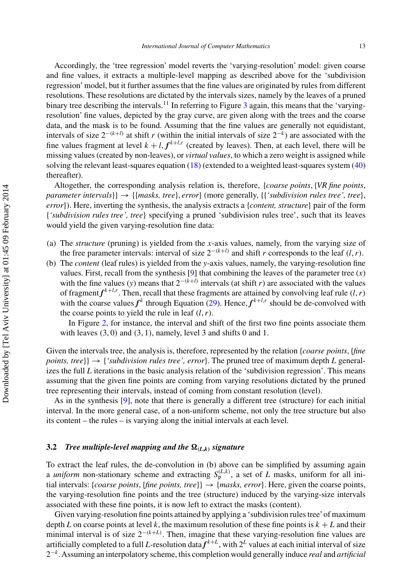<span id="page-13-0"></span>Accordingly, the 'tree regression' model reverts the 'varying-resolution' model: given coarse and fine values, it extracts a multiple-level mapping as described above for the 'subdivision regression' model, but it further assumes that the fine values are originated by rules from different resolutions. These resolutions are dictated by the intervals sizes, namely by the leaves of a pruned binary tree describing the intervals.<sup>11</sup> In referring to Figure [3](#page-12-0) again, this means that the 'varyingresolution' fine values, depicted by the gray curve, are given along with the trees and the coarse data, and the mask is to be found. Assuming that the fine values are generally not equidistant, intervals of size  $2^{-(k+1)}$  at shift *r* (within the initial intervals of size  $2^{-k}$ ) are associated with the fine values fragment at level  $k + l$ ,  $f^{k+l,r}$  (created by leaves). Then, at each level, there will be missing values (created by non-leaves), or *virtual values*, to which a zero weight is assigned while solving the relevant least-squares equation [\(18\)](#page-7-0) (extended to a weighted least-squares system [\(40\)](#page-18-0) thereafter).

Altogether, the corresponding analysis relation is, therefore, {*coarse points*,{*VR fine points*, *parameter intervals*}} → {{*masks, tree*}, *error*} (more generally, {{*'subdivision rules tree', tree*}, *error*}). Here, inverting the synthesis, the analysis extracts a {*content, structure*} pair of the form {*'subdivision rules tree', tree*} specifying a pruned 'subdivision rules tree', such that its leaves would yield the given varying-resolution fine data:

- (a) The *structure* (pruning) is yielded from the *x*-axis values, namely, from the varying size of the free parameter intervals: interval of size  $2^{-(k+l)}$  and shift *r* corresponds to the leaf  $(l, r)$ .
- (b) The *content* (leaf rules) is yielded from the *y*-axis values, namely, the varying-resolution fine values. First, recall from the synthesis [\[9](#page-30-0)] that combining the leaves of the parameter tree  $(x)$ with the fine values (*y*) means that  $2^{-(k+1)}$  intervals (at shift *r*) are associated with the values of fragment  $f^{k+l,r}$ . Then, recall that these fragments are attained by convolving leaf rule  $(l, r)$ with the coarse values  $f^k$  through Equation [\(29\)](#page-11-0). Hence,  $f^{k+l,r}$  should be de-convolved with the coarse points to yield the rule in leaf  $(l, r)$ .

In Figure [2,](#page-11-0) for instance, the interval and shift of the first two fine points associate them with leaves *(*3, 0*)* and *(*3, 1*)*, namely, level 3 and shifts 0 and 1.

Given the intervals tree, the analysis is, therefore, represented by the relation {*coarse points*,{*fine points, tree*}}  $\rightarrow$  {*'subdivision rules tree', error*}. The pruned tree of maximum depth *L* generalizes the full *L* iterations in the basic analysis relation of the 'subdivision regression'. This means assuming that the given fine points are coming from varying resolutions dictated by the pruned tree representing their intervals, instead of coming from constant resolution (level).

As in the synthesis [\[9\]](#page-30-0), note that there is generally a different tree (structure) for each initial interval. In the more general case, of a non-uniform scheme, not only the tree structure but also its content – the rules – is varying along the initial intervals at each level.

### **3.2** *Tree multiple-level mapping and the*  $\Omega_{(L,k)}$  *signature*

To extract the leaf rules, the de-convolution in (b) above can be simplified by assuming again a *uniform* non-stationary scheme and extracting  $S_p^{(L,k)}$ , a set of *L* masks, uniform for all initial intervals: {*coarse points, {fine points, tree}}*  $\rightarrow$  {*masks, error*}. Here, given the coarse points, the varying-resolution fine points and the tree (structure) induced by the varying-size intervals associated with these fine points, it is now left to extract the masks (content).

Given varying-resolution fine points attained by applying a 'subdivision rules tree' of maximum depth *L* on coarse points at level *k*, the maximum resolution of these fine points is  $k + L$  and their minimal interval is of size 2<sup>−</sup>*(k*+*L)* . Then, imagine that these varying-resolution fine values are artificially completed to a full *L*-resolution data  $f^{k+L}$ , with  $2^L$  values at each initial interval of size 2<sup>−</sup>*<sup>k</sup>* .Assuming an interpolatory scheme, this completion would generally induce *real* and *artificial*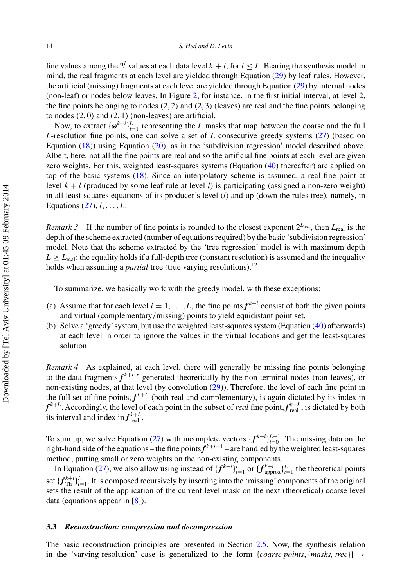fine values among the  $2^l$  values at each data level  $k + l$ , for  $l \leq L$ . Bearing the synthesis model in mind, the real fragments at each level are yielded through Equation [\(29\)](#page-11-0) by leaf rules. However, the artificial (missing) fragments at each level are yielded through Equation [\(29\)](#page-11-0) by internal nodes (non-leaf) or nodes below leaves. In Figure [2,](#page-11-0) for instance, in the first initial interval, at level 2, the fine points belonging to nodes *(*2, 2*)* and *(*2, 3*)* (leaves) are real and the fine points belonging to nodes *(*2, 0*)* and *(*2, 1*)* (non-leaves) are artificial.

Now, to extract  $\{\omega^{k+i}\}_{i=1}^L$  representing the *L* masks that map between the coarse and the full *L*-resolution fine points, one can solve a set of *L* consecutive greedy systems [\(27\)](#page-10-0) (based on Equation [\(18\)](#page-7-0)) using Equation [\(20\)](#page-7-0), as in the 'subdivision regression' model described above. Albeit, here, not all the fine points are real and so the artificial fine points at each level are given zero weights. For this, weighted least-squares systems (Equation [\(40\)](#page-18-0) thereafter) are applied on top of the basic systems [\(18\)](#page-7-0). Since an interpolatory scheme is assumed, a real fine point at level  $k + l$  (produced by some leaf rule at level *l*) is participating (assigned a non-zero weight) in all least-squares equations of its producer's level (*l*) and up (down the rules tree), namely, in Equations [\(27\)](#page-10-0), *l*, *...* , *L*.

*Remark 3* If the number of fine points is rounded to the closest exponent  $2^{L_{\text{real}}}$ , then  $L_{\text{real}}$  is the depth of the scheme extracted (number of equations required) by the basic 'subdivision regression' model. Note that the scheme extracted by the 'tree regression' model is with maximum depth  $L \geq L_{\text{real}}$ ; the equality holds if a full-depth tree (constant resolution) is assumed and the inequality holds when assuming a *partial* tree (true varying resolutions).<sup>12</sup>

To summarize, we basically work with the greedy model, with these exceptions:

- (a) Assume that for each level  $i = 1, \ldots, L$ , the fine points  $f^{k+i}$  consist of both the given points and virtual (complementary*/*missing) points to yield equidistant point set.
- (b) Solve a 'greedy'system, but use the weighted least-squares system (Equation [\(40\)](#page-18-0) afterwards) at each level in order to ignore the values in the virtual locations and get the least-squares solution.

*Remark 4* As explained, at each level, there will generally be missing fine points belonging to the data fragments  $f^{k+L,r}$  generated theoretically by the non-terminal nodes (non-leaves), or non-existing nodes, at that level (by convolution [\(29\)](#page-11-0)). Therefore, the level of each fine point in the full set of fine points,  $f^{k+L}$  (both real and complementary), is again dictated by its index in  $f^{k+L}$ . Accordingly, the level of each point in the subset of *real* fine point,  $f_{\text{real}}^{k+L}$ , is dictated by both its interval and index in  $f_{\text{real}}^{k+L}$ .

To sum up, we solve Equation [\(27\)](#page-10-0) with incomplete vectors  $\{f^{k+i}\}_{i=0}^{L-1}$ . The missing data on the right-hand side of the equations – the fine points  $\hat{f}^{k+i+1}$  – are handled by the weighted least-squares method, putting small or zero weights on the non-existing components.

In Equation [\(27\)](#page-10-0), we also allow using instead of  $\{f^{k+i}\}_{i=1}^L$  or  $\{f^{k+i}_{\text{approx}}\}_{i=1}^L$  the theoretical points set  $\{f_{\text{Th}}^{k+i}\}_{i=1}^L$ . It is composed recursively by inserting into the 'missing' components of the original sets the result of the application of the current level mask on the next (theoretical) coarse level data (equations appear in [\[8\]](#page-30-0)).

# **3.3** *Reconstruction: compression and decompression*

The basic reconstruction principles are presented in Section [2.5.](#page-10-0) Now, the synthesis relation in the 'varying-resolution' case is generalized to the form {*coarse points*, {*masks, tree*}}  $\rightarrow$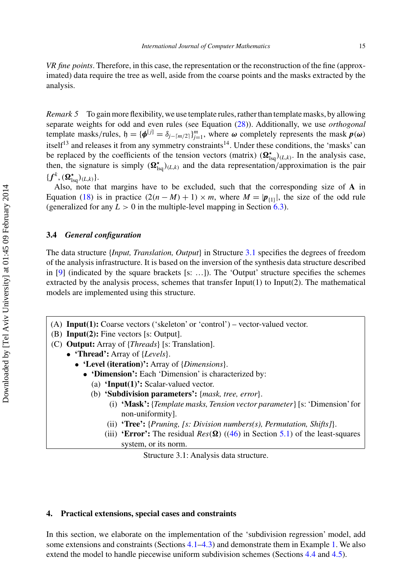<span id="page-15-0"></span>*VR fine points*. Therefore, in this case, the representation or the reconstruction of the fine (approximated) data require the tree as well, aside from the coarse points and the masks extracted by the analysis.

*Remark 5* To gain more flexibility, we use template rules, rather than template masks, by allowing separate weights for odd and even rules (see Equation [\(28\)](#page-11-0)). Additionally, we use *orthogonal* template masks/rules,  $\mathfrak{h} = {\phi^{[j]}} = \delta_{j-[m/2]} \mathfrak{f}_{j=1}^m$ , where  $\omega$  completely represents the mask  $p(\omega)$ itself<sup>13</sup> and releases it from any symmetry constraints<sup>14</sup>. Under these conditions, the 'masks' can be replaced by the coefficients of the tension vectors (matrix)  $(\mathbf{\Omega}^*_{\text{lsq}})_{(L,k)}$ . In the analysis case, then, the signature is simply  $(\Omega_{\text{lsq}}^{\star})_{(L,k)}$  and the data representation/approximation is the pair  $\{f^k, (\boldsymbol{\Omega}_{\text{lsq}}^\star)_{(L,k)}\}.$ 

Also, note that margins have to be excluded, such that the corresponding size of **A** in Equation [\(18\)](#page-7-0) is in practice  $(2(n-M) + 1) \times m$ , where  $M = |\mathbf{p}_{\{1\}}|$ , the size of the odd rule (generalized for any  $L > 0$  in the multiple-level mapping in Section [6.3\)](#page-24-0).

# **3.4** *General configuration*

The data structure {*Input, Translation, Output*} in Structure 3.1 specifies the degrees of freedom of the analysis infrastructure. It is based on the inversion of the synthesis data structure described in [\[9](#page-30-0)] (indicated by the square brackets [s: …]). The 'Output' structure specifies the schemes extracted by the analysis process, schemes that transfer  $Input(1)$  to  $Input(2)$ . The mathematical models are implemented using this structure.

- (A) **Input(1):** Coarse vectors ('skeleton' or 'control') vector-valued vector.
- (B) **Input(2):** Fine vectors [s: Output].
- (C) **Output:** Array of {*Threads*} [s: Translation].
	- **'Thread':** Array of {*Levels*}.
		- **'Level (iteration)':** Array of {*Dimensions*}.
			- **'Dimension':** Each 'Dimension' is characterized by:
				- (a) **'Input(1)':** Scalar-valued vector.
				- (b) **'Subdivision parameters':** {*mask, tree, error*}.
					- (i) **'Mask':**{*Template masks, Tension vector parameter*}[s: 'Dimension'for non-uniformity].
					- (ii) **'Tree':** {*Pruning, [s: Division numbers(s), Permutation, Shifts]*}.
					- (iii) **'Error':** The residual  $Res(\Omega)$  ([\(46\)](#page-20-0) in Section [5.1\)](#page-19-0) of the least-squares system, or its norm.

Structure 3.1: Analysis data structure.

#### **4. Practical extensions, special cases and constraints**

In this section, we elaborate on the implementation of the 'subdivision regression' model, add some extensions and constraints (Sections [4.1–](#page-16-0)[4.3\)](#page-17-0) and demonstrate them in Example [1.](#page-17-0) We also extend the model to handle piecewise uniform subdivision schemes (Sections [4.4](#page-18-0) and [4.5\)](#page-19-0).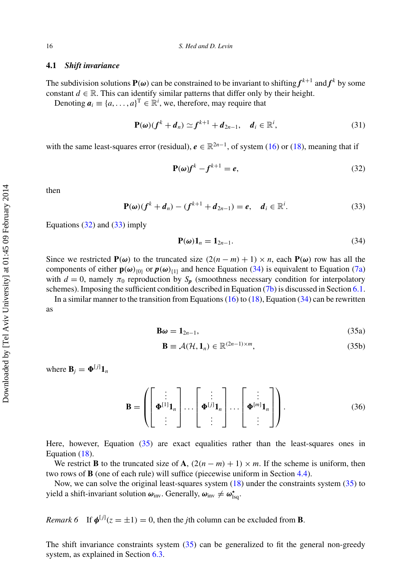# <span id="page-16-0"></span>**4.1** *Shift invariance*

The subdivision solutions  $P(\omega)$  can be constrained to be invariant to shifting  $f^{k+1}$  and  $f^k$  by some constant  $d \in \mathbb{R}$ . This can identify similar patterns that differ only by their height.

Denoting  $a_i \equiv \{a, \ldots, a\}^T \in \mathbb{R}^i$ , we, therefore, may require that

$$
\mathbf{P}(\boldsymbol{\omega})(f^k + d_n) \simeq f^{k+1} + d_{2n-1}, \quad d_i \in \mathbb{R}^i,
$$
\n(31)

with the same least-squares error (residual),  $e \in \mathbb{R}^{2n-1}$ , of system [\(16\)](#page-6-0) or [\(18\)](#page-7-0), meaning that if

$$
\mathbf{P}(\omega)f^{k} - f^{k+1} = e,\tag{32}
$$

then

$$
\mathbf{P}(\omega)(f^{k} + d_{n}) - (f^{k+1} + d_{2n-1}) = e, \quad d_{i} \in \mathbb{R}^{i}.
$$
 (33)

Equations  $(32)$  and  $(33)$  imply

$$
\mathbf{P}(\boldsymbol{\omega})\mathbf{1}_n = \mathbf{1}_{2n-1}.\tag{34}
$$

Since we restricted  $P(\omega)$  to the truncated size  $(2(n-m)+1) \times n$ , each  $P(\omega)$  row has all the components of either  $\mathbf{p}(\omega)_{\{0\}}$  or  $\mathbf{p}(\omega)_{\{1\}}$  and hence Equation (34) is equivalent to Equation [\(7a\)](#page-4-0) with  $d = 0$ , namely  $\pi_0$  reproduction by  $S_p$  (smoothness necessary condition for interpolatory schemes). Imposing the sufficient condition described in Equation [\(7b\)](#page-4-0) is discussed in Section [6.1.](#page-21-0)

In a similar manner to the transition from Equations [\(16\)](#page-6-0) to [\(18\)](#page-7-0), Equation (34) can be rewritten as

$$
\mathbf{B}\boldsymbol{\omega} = \mathbf{1}_{2n-1},\tag{35a}
$$

$$
\mathbf{B} \equiv \mathcal{A}(\mathcal{H}, \mathbf{1}_n) \in \mathbb{R}^{(2n-1)\times m},\tag{35b}
$$

where  $\mathbf{B}_j = \mathbf{\Phi}^{[j]} \mathbf{1}_n$ 

$$
\mathbf{B} = \left( \left[ \boldsymbol{\Phi}^{[1]} \mathbf{1}_n \right] \dots \left[ \boldsymbol{\Phi}^{[j]} \mathbf{1}_n \right] \dots \left[ \boldsymbol{\Phi}^{[m]} \mathbf{1}_n \right] \right). \tag{36}
$$

Here, however, Equation (35) are exact equalities rather than the least-squares ones in Equation [\(18\)](#page-7-0).

We restrict **B** to the truncated size of **A**,  $(2(n-m)+1) \times m$ . If the scheme is uniform, then two rows of **B** (one of each rule) will suffice (piecewise uniform in Section [4.4\)](#page-18-0).

Now, we can solve the original least-squares system [\(18\)](#page-7-0) under the constraints system (35) to yield a shift-invariant solution  $\boldsymbol{\omega}_{\text{inv}}$ . Generally,  $\boldsymbol{\omega}_{\text{inv}} \neq \boldsymbol{\omega}_{\text{lsq}}^*$ .

*Remark 6* If  $\phi^{[j]}(z = \pm 1) = 0$ , then the *j*th column can be excluded from **B**.

The shift invariance constraints system (35) can be generalized to fit the general non-greedy system, as explained in Section [6.3.](#page-24-0)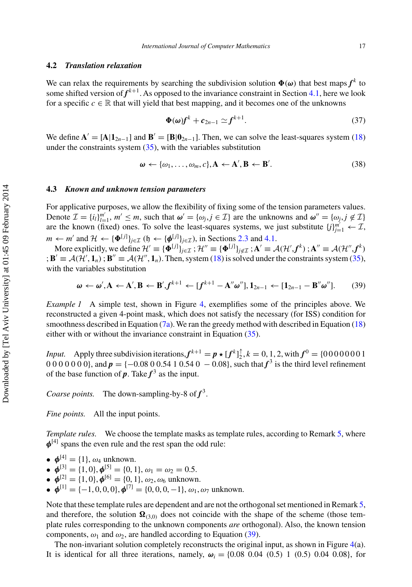## <span id="page-17-0"></span>**4.2** *Translation relaxation*

We can relax the requirements by searching the subdivision solution  $\Phi(\omega)$  that best maps  $f^k$  to some shifted version of  $f^{k+1}$ . As opposed to the invariance constraint in Section [4.1,](#page-16-0) here we look for a specific  $c \in \mathbb{R}$  that will yield that best mapping, and it becomes one of the unknowns

$$
\Phi(\omega)f^{k}+c_{2n-1}\simeq f^{k+1}.
$$
\n(37)

We define  $\mathbf{A}' = [\mathbf{A} | \mathbf{1}_{2n-1}]$  and  $\mathbf{B}' = [\mathbf{B} | \mathbf{0}_{2n-1}]$ . Then, we can solve the least-squares system [\(18\)](#page-7-0) under the constraints system  $(35)$ , with the variables substitution

$$
\boldsymbol{\omega} \leftarrow {\{\omega_1,\ldots,\omega_m,c\}}, \mathbf{A} \leftarrow \mathbf{A}', \mathbf{B} \leftarrow \mathbf{B}'. \tag{38}
$$

#### **4.3** *Known and unknown tension parameters*

For applicative purposes, we allow the flexibility of fixing some of the tension parameters values. Denote  $\mathcal{I} = \{i_l\}_{l=1}^{m'}$ ,  $m' \leq m$ , such that  $\omega' = \{\omega_j, j \in \mathcal{I}\}\$  are the unknowns and  $\omega'' = \{\omega_j, j \notin \mathcal{I}\}\$ are the known (fixed) ones. To solve the least-squares systems, we just substitute  ${j}j_{j=1}^m \leftarrow \mathcal{I}$ ,  $m \leftarrow m'$  and  $\mathcal{H} \leftarrow {\{\mathbf{\Phi}^{[j]}\}_{j \in \mathcal{I}}}$  ( $\mathfrak{h} \leftarrow {\{\mathbf{\phi}^{[j]}\}_{j \in \mathcal{I}}}$ ), in Sections [2.3](#page-7-0) and [4.1.](#page-16-0)

More explicitly, we define  $\mathcal{H}' \equiv {\{\mathbf{\Phi}^{[j]}\}}_{j \in \mathcal{I}}$ ;  $\mathcal{H}'' \equiv {\{\mathbf{\Phi}^{[j]}\}}_{j \notin \mathcal{I}}$ ;  $\mathbf{A}' \equiv \mathcal{A}(\mathcal{H}', \mathbf{f}^k)$ ;  $\mathbf{A}'' \equiv \mathcal{A}(\mathcal{H}'', \mathbf{f}^k)$  $\mathbf{B}' \equiv \mathcal{A}(\mathcal{H}', \mathbf{1}_n)$ ;  $\mathbf{B}'' \equiv \mathcal{A}(\mathcal{H}'', \mathbf{1}_n)$ . Then, system [\(18\)](#page-7-0) is solved under the constraints system [\(35\)](#page-16-0), with the variables substitution

$$
\boldsymbol{\omega} \leftarrow \boldsymbol{\omega}', \mathbf{A} \leftarrow \mathbf{A}', \mathbf{B} \leftarrow \mathbf{B}', f^{k+1} \leftarrow [f^{k+1} - \mathbf{A}'' \boldsymbol{\omega}''], \mathbf{1}_{2n-1} \leftarrow [\mathbf{1}_{2n-1} - \mathbf{B}'' \boldsymbol{\omega}''] . \tag{39}
$$

*Example 1* A simple test, shown in Figure [4,](#page-18-0) exemplifies some of the principles above. We reconstructed a given 4-point mask, which does not satisfy the necessary (for ISS) condition for smoothness described in Equation  $(7a)$ . We ran the greedy method with described in Equation [\(18\)](#page-7-0) either with or without the invariance constraint in Equation [\(35\)](#page-16-0).

*Input.* Apply three subdivision iterations,  $f^{k+1} = p * [f^k]_2^{\uparrow}$ ,  $k = 0, 1, 2$ , with  $f^0 = \{00000001$ 0 0 0 0 0 0 0}, and  $p = \{-0.08 \, 0 \, 0.54 \, 1 \, 0.54 \, 0 \, -0.08\}$ , such that  $f^3$  is the third level refinement of the base function of  $p$ . Take  $f^3$  as the input.

*Coarse points.* The down-sampling-by-8 of  $f^3$ .

*Fine points.* All the input points.

*Template rules.* We choose the template masks as template rules, according to Remark [5,](#page-15-0) where *φ*[4] spans the even rule and the rest span the odd rule:

- $\phi^{[4]} = \{1\}, \omega_4$  unknown.
- $\boldsymbol{\phi}^{[3]} = \{1, 0\}, \boldsymbol{\phi}^{[5]} = \{0, 1\}, \omega_1 = \omega_2 = 0.5.$
- $\boldsymbol{\phi}$   $\boldsymbol{\phi}^{[2]} = \{1, 0\}, \boldsymbol{\phi}^{[6]} = \{0, 1\}, \omega_2, \omega_6$  unknown.
- $\boldsymbol{\phi}$   $\boldsymbol{\phi}^{[1]} = \{-1, 0, 0, 0\}, \boldsymbol{\phi}^{[7]} = \{0, 0, 0, -1\}, \omega_1, \omega_7$  unknown.

Note that these template rules are dependent and are not the orthogonal set mentioned in Remark [5,](#page-15-0) and therefore, the solution  $\Omega_{(3,0)}$  does not coincide with the shape of the scheme (those template rules corresponding to the unknown components *are* orthogonal). Also, the known tension components,  $\omega_1$  and  $\omega_2$ , are handled according to Equation (39).

The non-invariant solution completely reconstructs the original input, as shown in Figure [4\(](#page-18-0)a). It is identical for all three iterations, namely,  $ω<sub>i</sub> = \{0.08 \ 0.04 \ (0.5) \ 1 \ (0.5) \ 0.04 \ 0.08\}$ , for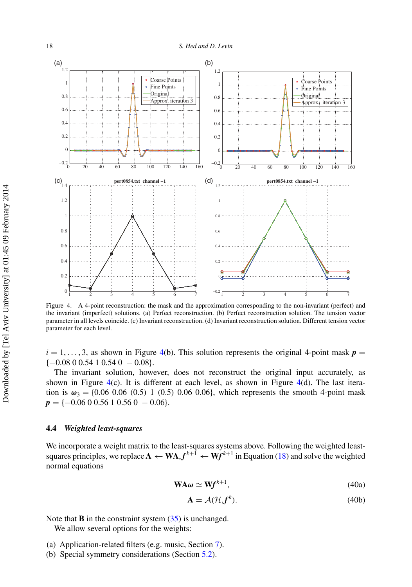<span id="page-18-0"></span>

Figure 4. A 4-point reconstruction: the mask and the approximation corresponding to the non-invariant (perfect) and the invariant (imperfect) solutions. (a) Perfect reconstruction. (b) Perfect reconstruction solution. The tension vector parameter in all levels coincide. (c) Invariant reconstruction. (d) Invariant reconstruction solution. Different tension vector parameter for each level.

 $i = 1, \ldots, 3$ , as shown in Figure 4(b). This solution represents the original 4-point mask  $p =$  $\{-0.08\ 0\ 0.54\ 1\ 0.54\ 0\ -0.08\}.$ 

The invariant solution, however, does not reconstruct the original input accurately, as shown in Figure  $4(c)$ . It is different at each level, as shown in Figure  $4(d)$ . The last iteration is  $\omega_3 = \{0.06 \, 0.06 \, (0.5) \, 1 \, (0.5) \, 0.06 \, 0.06\}$ , which represents the smooth 4-point mask  $p = \{-0.06\,0\,0.56\,1\,0.56\,0\ -0.06\}.$ 

# **4.4** *Weighted least-squares*

We incorporate a weight matrix to the least-squares systems above. Following the weighted leastsquares principles, we replace  $A \leftarrow WA, f^{k+1} \leftarrow Wf^{k+1}$  in Equation [\(18\)](#page-7-0) and solve the weighted normal equations

$$
\mathbf{W} \mathbf{A} \boldsymbol{\omega} \simeq \mathbf{W} \mathbf{f}^{k+1},\tag{40a}
$$

$$
\mathbf{A} = \mathcal{A}(\mathcal{H}, \mathbf{f}^k). \tag{40b}
$$

Note that **B** in the constraint system  $(35)$  is unchanged.

We allow several options for the weights:

- (a) Application-related filters (e.g. music, Section [7\)](#page-26-0).
- (b) Special symmetry considerations (Section [5.2\)](#page-21-0).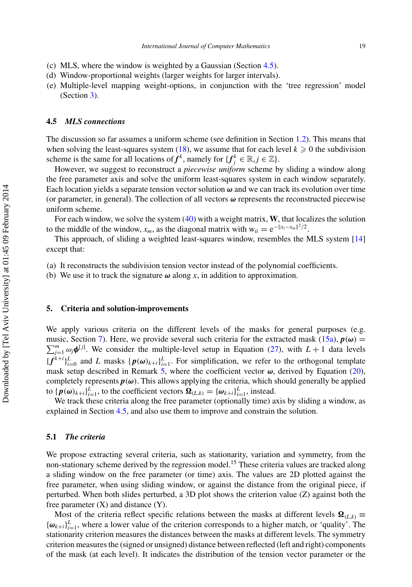- <span id="page-19-0"></span>(c) MLS, where the window is weighted by a Gaussian (Section 4.5).
- (d) Window-proportional weights (larger weights for larger intervals).
- (e) Multiple-level mapping weight-options, in conjunction with the 'tree regression' model (Section [3\)](#page-10-0).

# **4.5** *MLS connections*

The discussion so far assumes a uniform scheme (see definition in Section [1.2\)](#page-2-0). This means that when solving the least-squares system  $(18)$ , we assume that for each level  $k \geq 0$  the subdivision scheme is the same for all locations of  $f^k$ , namely for  $\{f^k_j \in \mathbb{R}, j \in \mathbb{Z}\}$ .

However, we suggest to reconstruct a *piecewise uniform* scheme by sliding a window along the free parameter axis and solve the uniform least-squares system in each window separately. Each location yields a separate tension vector solution *ω* and we can track its evolution over time (or parameter, in general). The collection of all vectors *ω* represents the reconstructed piecewise uniform scheme.

For each window, we solve the system [\(40\)](#page-18-0) with a weight matrix, **W**, that localizes the solution to the middle of the window,  $x_m$ , as the diagonal matrix with  $w_{ii} = e^{-||x_i - x_m||^2/2}$ .

This approach, of sliding a weighted least-squares window, resembles the MLS system [\[14\]](#page-30-0) except that:

- (a) It reconstructs the subdivision tension vector instead of the polynomial coefficients.
- (b) We use it to track the signature  $\omega$  along x, in addition to approximation.

#### **5. Criteria and solution-improvements**

We apply various criteria on the different levels of the masks for general purposes (e.g. music, Section [7\)](#page-26-0). Here, we provide several such criteria for the extracted mask [\(15a\)](#page-6-0),  $p(\omega) = \sum_{m=0}^{m} |p(\omega)|^2$  We consider the multiple layer in Equation (27), with  $I + 1$  data layer  $\sum_{j=1}^{m} \omega_j \phi^{[j]}$ . We consider the multiple-level setup in Equation [\(27\)](#page-10-0), with  $L + 1$  data levels  ${f^{k+i}}_{i=0}^L$  and *L* masks  ${p(\omega)_{k+i}}_{i=1}^L$ . For simplification, we refer to the orthogonal template mask setup described in Remark [5,](#page-15-0) where the coefficient vector *ω*, derived by Equation [\(20\)](#page-7-0), completely represents  $p(\omega)$ . This allows applying the criteria, which should generally be applied to  $\{p(\omega)_{k+i}\}_{i=1}^L$ , to the coefficient vectors  $\mathbf{\Omega}_{(L,k)} = {\{\omega_{k+i}\}}_{i=1}^L$ , instead.

We track these criteria along the free parameter (optionally time) axis by sliding a window, as explained in Section 4.5, and also use them to improve and constrain the solution.

#### **5.1** *The criteria*

We propose extracting several criteria, such as stationarity, variation and symmetry, from the non-stationary scheme derived by the regression model.<sup>15</sup> These criteria values are tracked along a sliding window on the free parameter (or time) axis. The values are 2D plotted against the free parameter, when using sliding window, or against the distance from the original piece, if perturbed. When both slides perturbed, a 3D plot shows the criterion value (Z) against both the free parameter  $(X)$  and distance  $(Y)$ .

Most of the criteria reflect specific relations between the masks at different levels  $\Omega_{(L,k)}$  ${\{\omega_{k+i}\}}_{i=1}^L$ , where a lower value of the criterion corresponds to a higher match, or 'quality'. The stationarity criterion measures the distances between the masks at different levels. The symmetry criterion measures the (signed or unsigned) distance between reflected (left and right) components of the mask (at each level). It indicates the distribution of the tension vector parameter or the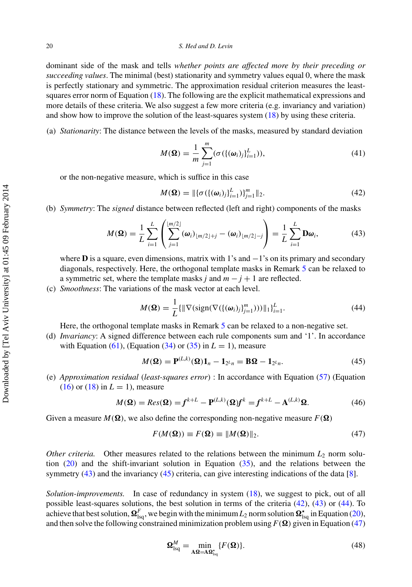<span id="page-20-0"></span>dominant side of the mask and tells *whether points are affected more by their preceding or succeeding values*. The minimal (best) stationarity and symmetry values equal 0, where the mask is perfectly stationary and symmetric. The approximation residual criterion measures the leastsquares error norm of Equation [\(18\)](#page-7-0). The following are the explicit mathematical expressions and more details of these criteria. We also suggest a few more criteria (e.g. invariancy and variation) and show how to improve the solution of the least-squares system [\(18\)](#page-7-0) by using these criteria.

(a) *Stationarity*: The distance between the levels of the masks, measured by standard deviation

$$
M(\mathbf{\Omega}) = \frac{1}{m} \sum_{j=1}^{m} (\sigma(\{(\boldsymbol{\omega}_{i})_{j}\}_{i=1}^{L})),
$$
\n(41)

or the non-negative measure, which is suffice in this case

$$
M(\mathbf{\Omega}) = \|\{\sigma(\{(\omega_i)_j\}_{i=1}^L)\}_{j=1}^m\|_2. \tag{42}
$$

(b) *Symmetry*: The *signed* distance between reflected (left and right) components of the masks

$$
M(\mathbf{\Omega}) = \frac{1}{L} \sum_{i=1}^{L} \left( \sum_{j=1}^{\lfloor m/2 \rfloor} (\omega_i)_{\lfloor m/2 \rfloor + j} - (\omega_i)_{\lfloor m/2 \rfloor - j} \right) = \frac{1}{L} \sum_{i=1}^{L} \mathbf{D} \omega_i,
$$
 (43)

where **D** is a square, even dimensions, matrix with 1's and  $-1$ 's on its primary and secondary diagonals, respectively. Here, the orthogonal template masks in Remark [5](#page-15-0) can be relaxed to a symmetric set, where the template masks *j* and  $m - j + 1$  are reflected.

(c) *Smoothness*: The variations of the mask vector at each level.

$$
M(\mathbf{\Omega}) = \frac{1}{L} \{ || \nabla(\text{sign}(\nabla((\{\omega_i\}_j)_{j=1}^m))) ||_1 \}_{i=1}^L.
$$
 (44)

Here, the orthogonal template masks in Remark [5](#page-15-0) can be relaxed to a non-negative set.

(d) *Invariancy*: A signed difference between each rule components sum and '1'. In accordance with Equation [\(61\)](#page-26-0), (Equation [\(34\)](#page-16-0) or [\(35\)](#page-16-0) in  $L = 1$ ), measure

$$
M(\Omega) = \mathbf{P}^{(L,k)}(\Omega)\mathbf{1}_n - \mathbf{1}_{2^L n} = \mathbf{B}\Omega - \mathbf{1}_{2^L n}.
$$
 (45)

(e) *Approximation residual (least-squares error)* : In accordance with Equation [\(57\)](#page-25-0) (Equation  $(16)$  or  $(18)$  in  $L = 1$ ), measure

$$
M(\Omega) = Res(\Omega) = f^{k+L} - P^{(L,k)}(\Omega)f^k = f^{k+L} - A^{(L,k)}\Omega.
$$
 (46)

Given a measure  $M(\Omega)$ , we also define the corresponding non-negative measure  $F(\Omega)$ 

$$
F(M(\mathbf{\Omega})) \equiv F(\mathbf{\Omega}) \equiv ||M(\mathbf{\Omega})||_2. \tag{47}
$$

*Other criteria.* Other measures related to the relations between the minimum  $L_2$  norm solution  $(20)$  and the shift-invariant solution in Equation  $(35)$ , and the relations between the symmetry (43) and the invariancy (45) criteria, can give interesting indications of the data [\[8](#page-30-0)].

*Solution-improvements.* In case of redundancy in system [\(18\)](#page-7-0), we suggest to pick, out of all possible least-squares solutions, the best solution in terms of the criteria  $(42)$ ,  $(43)$  or  $(44)$ . To achieve that best solution,  $\mathbf{\Omega}_{\text{lsq}}^F$ , we begin with the minimum  $L_2$  norm solution  $\mathbf{\Omega}_{\text{lsq}}^{\star}$  in Equation [\(20\)](#page-7-0), and then solve the following constrained minimization problem using  $F(\Omega)$  given in Equation (47)

$$
\mathbf{\Omega}_{\text{lsq}}^M = \min_{\mathbf{\Lambda}\mathbf{\Omega} = \mathbf{\Lambda}\mathbf{\Omega}_{\text{lsq}}} \{ F(\mathbf{\Omega}) \}. \tag{48}
$$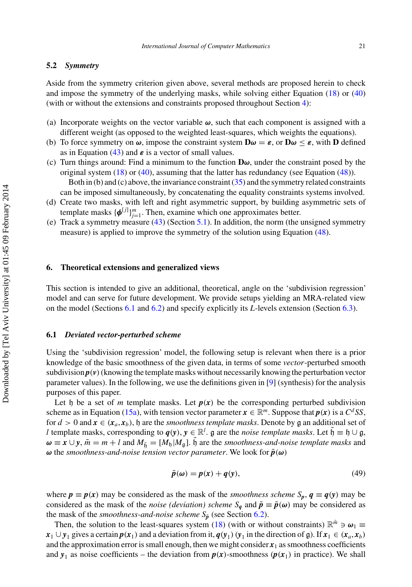# <span id="page-21-0"></span>**5.2** *Symmetry*

Aside from the symmetry criterion given above, several methods are proposed herein to check and impose the symmetry of the underlying masks, while solving either Equation [\(18\)](#page-7-0) or [\(40\)](#page-18-0) (with or without the extensions and constraints proposed throughout Section [4\)](#page-15-0):

- (a) Incorporate weights on the vector variable *ω*, such that each component is assigned with a different weight (as opposed to the weighted least-squares, which weights the equations).
- (b) To force symmetry on  $\omega$ , impose the constraint system  $\mathbf{D}\omega = \varepsilon$ , or  $\mathbf{D}\omega \leq \varepsilon$ , with **D** defined as in Equation [\(43\)](#page-20-0) and *ε* is a vector of small values.
- (c) Turn things around: Find a minimum to the function **D***ω*, under the constraint posed by the original system [\(18\)](#page-7-0) or [\(40\)](#page-18-0), assuming that the latter has redundancy (see Equation [\(48\)](#page-20-0)). Both in (b) and (c) above, the invariance constraint [\(35\)](#page-16-0) and the symmetry related constraints
- can be imposed simultaneously, by concatenating the equality constraints systems involved. (d) Create two masks, with left and right asymmetric support, by building asymmetric sets of template masks  $\{\phi^{[j]}\}_{j=1}^m$ . Then, examine which one approximates better.
- (e) Track a symmetry measure [\(43\)](#page-20-0) (Section [5.1\)](#page-19-0). In addition, the norm (the unsigned symmetry measure) is applied to improve the symmetry of the solution using Equation [\(48\)](#page-20-0).

#### **6. Theoretical extensions and generalized views**

This section is intended to give an additional, theoretical, angle on the 'subdivision regression' model and can serve for future development. We provide setups yielding an MRA-related view on the model (Sections 6.1 and [6.2\)](#page-22-0) and specify explicitly its *L*-levels extension (Section [6.3\)](#page-24-0).

#### **6.1** *Deviated vector-perturbed scheme*

Using the 'subdivision regression' model, the following setup is relevant when there is a prior knowledge of the basic smoothness of the given data, in terms of some *vector*-perturbed smooth subdivision  $p(v)$  (knowing the template masks without necessarily knowing the perturbation vector parameter values). In the following, we use the definitions given in [\[9](#page-30-0)] (synthesis) for the analysis purposes of this paper.

Let h be a set of *m* template masks. Let  $p(x)$  be the corresponding perturbed subdivision scheme as in Equation [\(15a\)](#page-6-0), with tension vector parameter  $\mathbf{x} \in \mathbb{R}^m$ . Suppose that  $p(\mathbf{x})$  is a  $C^d S S$ , for  $d > 0$  and  $x \in (x_a, x_b)$ ,  $\mathfrak{h}$  are the *smoothness template masks*. Denote by g an additional set of *l* template masks, corresponding to  $q(y)$ ,  $y \in \mathbb{R}^l$ . g are the *noise template masks*. Let  $\tilde{h} \equiv h \cup g$ ,  $\omega \equiv x \cup y$ ,  $\tilde{m} = m + l$  and  $M_{\tilde{h}} = [M_h | M_g]$ .  $\tilde{h}$  are the *smoothness-and-noise template masks* and *ω* the *smoothness-and-noise tension vector parameter.* We look for  $\tilde{p}$  (*ω*)

$$
\tilde{p}(\omega) = p(x) + q(y),\tag{49}
$$

where  $p \equiv p(x)$  may be considered as the mask of the *smoothness scheme*  $S_p$ ,  $q \equiv q(y)$  may be considered as the mask of the *noise (deviation) scheme*  $S_q$  and  $\tilde{p} \equiv \tilde{p}(\omega)$  may be considered as the mask of the *smoothness-and-noise scheme*  $S_{\tilde{p}}$  (see Section [6.2\)](#page-22-0).

Then, the solution to the least-squares system [\(18\)](#page-7-0) (with or without constraints)  $\mathbb{R}^{\tilde{m}} \ni \omega_1 \equiv$  $x_1 \cup y_1$  gives a certain  $p(x_1)$  and a deviation from it,  $q(y_1)$   $(y_1$  in the direction of g). If  $x_1 \in (x_a, x_b)$ and the approximation error is small enough, then we might consider  $x_1$  as smoothness coefficients and  $y_1$  as noise coefficients – the deviation from  $p(x)$ -smoothness ( $p(x_1)$ ) in practice). We shall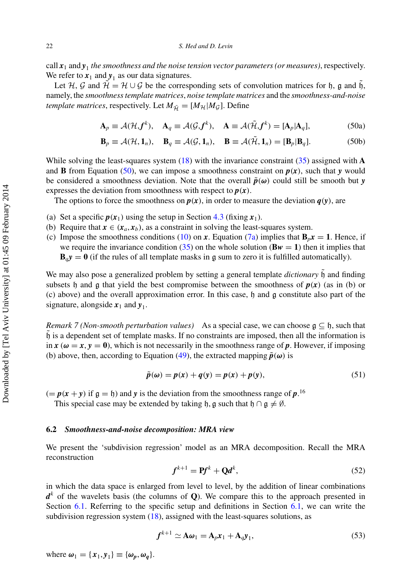<span id="page-22-0"></span>call  $x_1$  and  $y_1$  *the smoothness and the noise tension vector parameters (or measures)*, respectively. We refer to  $x_1$  and  $y_1$  as our data signatures.

Let H, G and  $\mathcal{H} = \mathcal{H} \cup \mathcal{G}$  be the corresponding sets of convolution matrices for h, g and h, namely, the *smoothness template matrices*, *noise template matrices* and the *smoothness-and-noise template matrices, respectively. Let*  $M_{\tilde{H}} = [M_H|M_G]$ *. Define* 

$$
\mathbf{A}_p \equiv \mathcal{A}(\mathcal{H}, \mathbf{f}^k), \quad \mathbf{A}_q \equiv \mathcal{A}(\mathcal{G}, \mathbf{f}^k), \quad \mathbf{A} \equiv \mathcal{A}(\tilde{\mathcal{H}}, \mathbf{f}^k) = [\mathbf{A}_p | \mathbf{A}_q], \tag{50a}
$$

$$
\mathbf{B}_p \equiv \mathcal{A}(\mathcal{H}, \mathbf{1}_n), \quad \mathbf{B}_q \equiv \mathcal{A}(\mathcal{G}, \mathbf{1}_n), \quad \mathbf{B} \equiv \mathcal{A}(\tilde{\mathcal{H}}, \mathbf{1}_n) = [\mathbf{B}_p | \mathbf{B}_q]. \tag{50b}
$$

While solving the least-squares system [\(18\)](#page-7-0) with the invariance constraint [\(35\)](#page-16-0) assigned with **A** and **B** from Equation (50), we can impose a smoothness constraint on  $p(x)$ , such that *y* would be considered a smoothness deviation. Note that the overall  $\tilde{p}(\omega)$  could still be smooth but *y* expresses the deviation from smoothness with respect to  $p(x)$ .

The options to force the smoothness on  $p(x)$ , in order to measure the deviation  $q(y)$ , are

- (a) Set a specific  $p(x_1)$  using the setup in Section [4.3](#page-17-0) (fixing  $x_1$ ).
- (b) Require that  $\mathbf{x} \in (\mathbf{x}_a, \mathbf{x}_b)$ , as a constraint in solving the least-squares system.
- (c) Impose the smoothness conditions [\(10\)](#page-4-0) on x. Equation [\(7a\)](#page-4-0) implies that  $\mathbf{B}_p x = 1$ . Hence, if we require the invariance condition [\(35\)](#page-16-0) on the whole solution ( $Bw = 1$ ) then it implies that  $B_qy = 0$  (if the rules of all template masks in g sum to zero it is fulfilled automatically).

We may also pose a generalized problem by setting a general template *dictionary* h and finding subsets h and g that yield the best compromise between the smoothness of  $p(x)$  (as in (b) or (c) above) and the overall approximation error. In this case,  $\mathfrak h$  and  $\mathfrak g$  constitute also part of the signature, alongside  $x_1$  and  $y_1$ .

*Remark 7 (Non-smooth perturbation values)* As a special case, we can choose  $\mathfrak{g} \subseteq \mathfrak{h}$ , such that h is a dependent set of template masks. If no constraints are imposed, then all the information is in  $x (\omega = x, y = 0)$ , which is not necessarily in the smoothness range of p. However, if imposing (b) above, then, according to Equation [\(49\)](#page-21-0), the extracted mapping  $\tilde{p}(\omega)$  is

$$
\tilde{p}(\omega) = p(x) + q(y) = p(x) + p(y),\tag{51}
$$

 $(= p(x + y)$  if  $q = h$ ) and *y* is the deviation from the smoothness range of *p*.<sup>16</sup>

This special case may be extended by taking h, g such that h ∩  $g \neq \emptyset$ .

## **6.2** *Smoothness-and-noise decomposition: MRA view*

We present the 'subdivision regression' model as an MRA decomposition. Recall the MRA reconstruction

$$
f^{k+1} = \mathbf{P}f^k + \mathbf{Q}d^k, \tag{52}
$$

in which the data space is enlarged from level to level, by the addition of linear combinations  $d<sup>k</sup>$  of the wavelets basis (the columns of **Q**). We compare this to the approach presented in Section [6.1.](#page-21-0) Referring to the specific setup and definitions in Section [6.1,](#page-21-0) we can write the subdivision regression system [\(18\)](#page-7-0), assigned with the least-squares solutions, as

$$
f^{k+1} \simeq A\omega_1 = A_p x_1 + A_q y_1, \qquad (53)
$$

where  $\omega_1 = \{x_1, y_1\} \equiv \{\omega_p, \omega_q\}.$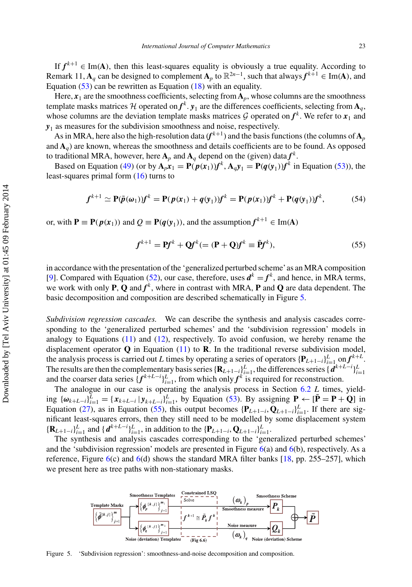If  $f^{k+1} \in \text{Im}(A)$ , then this least-squares equality is obviously a true equality. According to Remark 11,  $\mathbf{A}_q$  can be designed to complement  $\mathbf{A}_p$  to  $\mathbb{R}^{2n-1}$ , such that always  $f^{k+1} \in \text{Im}(\mathbf{A})$ , and Equation  $(53)$  can be rewritten as Equation  $(18)$  with an equality.

Here,  $x_1$  are the smoothness coefficients, selecting from  $A_p$ , whose columns are the smoothness template masks matrices H operated on  $f^k$ .  $y_1$  are the differences coefficients, selecting from  $A_q$ , whose columns are the deviation template masks matrices  $G$  operated on  $f^k$ . We refer to  $x_1$  and *y*<sup>1</sup> as measures for the subdivision smoothness and noise, respectively.

As in MRA, here also the high-resolution data  $(f^{k+1})$  and the basis functions (the columns of  $A_p$ and  $\mathbf{A}_q$ ) are known, whereas the smoothness and details coefficients are to be found. As opposed to traditional MRA, however, here  $A_p$  and  $A_q$  depend on the (given) data  $f^k$ .

Based on Equation [\(49\)](#page-21-0) (or by  $A_p x_1 = P(p(x_1)) f^k$ ,  $A_q y_1 = P(q(y_1)) f^k$  in Equation [\(53\)](#page-22-0)), the least-squares primal form [\(16\)](#page-6-0) turns to

$$
f^{k+1} \simeq \mathbf{P}(\tilde{p}(\omega_1))f^k = \mathbf{P}(p(x_1) + q(y_1))f^k = \mathbf{P}(p(x_1))f^k + \mathbf{P}(q(y_1))f^k, \tag{54}
$$

or, with  $P \equiv P(p(x_1))$  and  $Q \equiv P(q(y_1))$ , and the assumption  $f^{k+1} \in \text{Im}(A)$ 

$$
f^{k+1} = \mathbf{P}f^k + \mathbf{Q}f^k (= (\mathbf{P} + \mathbf{Q})f^k \equiv \tilde{\mathbf{P}}f^k), \tag{55}
$$

in accordance with the presentation of the 'generalized perturbed scheme'as an MRA composition [\[9\]](#page-30-0). Compared with Equation [\(52\)](#page-22-0), our case, therefore, uses  $d^k = f^k$ , and hence, in MRA terms, we work with only  $P$ ,  $Q$  and  $f^k$ , where in contrast with MRA,  $P$  and  $Q$  are data dependent. The basic decomposition and composition are described schematically in Figure 5.

*Subdivision regression cascades.* We can describe the synthesis and analysis cascades corresponding to the 'generalized perturbed schemes' and the 'subdivision regression' models in analogy to Equations  $(11)$  and  $(12)$ , respectively. To avoid confusion, we hereby rename the displacement operator **Q** in Equation [\(11\)](#page-4-0) to **R**. In the traditional reverse subdivision model, the analysis process is carried out *L* times by operating a series of operators  ${\{P_{L+1-i}\}}_{i=1}^L$  on  $f^{k+L}$ . The results are then the complementary basis series  $\{R_{L+1-i}\}_{i=1}^L$ , the differences series  $\{d^{k+L-i}\}_{i=1}^L$ and the coarser data series  $\{f^{k+L-i}\}_{i=1}^L$ , from which only  $f^k$  is required for reconstruction.

The analogue in our case is operating the analysis process in Section [6.2](#page-22-0) *L* times, yielding  $\{\boldsymbol{\omega}_{k+L-i}\}_{i=1}^L = \{\boldsymbol{x}_{k+L-i} | \boldsymbol{y}_{k+L-i}\}_{i=1}^L$ , by Equation [\(53\)](#page-22-0). By assigning  $\mathbf{P} \leftarrow [\tilde{\mathbf{P}} = \mathbf{P} + \mathbf{Q}]$  in Equation [\(27\)](#page-10-0), as in Equation (55), this output becomes  $\{P_{L+1-i}, Q_{L+1-i}\}_{i=1}^L$ . If there are significant least-squares errors, then they still need to be modelled by some displacement system  ${\bf R}_{L+1-i}$ ,  ${\bf l}_{i=1}^L$  and  ${\bf d}^{k+L-i}$ ,  ${\bf l}_{i=1}^L$ , in addition to the  ${\bf P}_{L+1-i}$ ,  ${\bf Q}_{L+1-i}$ ,  ${\bf l}_{i=1}^L$ .

The synthesis and analysis cascades corresponding to the 'generalized perturbed schemes' and the 'subdivision regression' models are presented in Figure  $6(a)$  $6(a)$  and  $6(b)$ , respectively. As a reference, Figure  $6(c)$  $6(c)$  and  $6(d)$  shows the standard MRA filter banks [\[18](#page-30-0), pp. 255–257], which we present here as tree paths with non-stationary masks.



Figure 5. 'Subdivision regression': smoothness-and-noise decomposition and composition.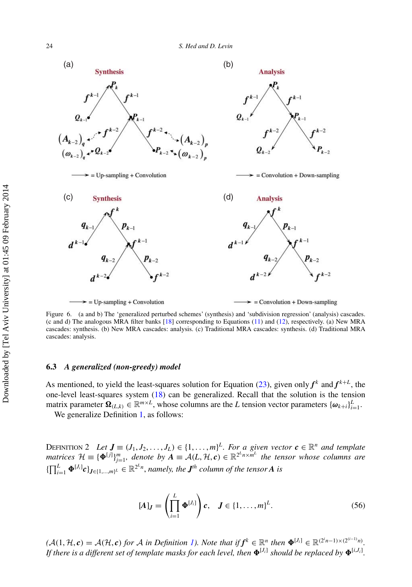<span id="page-24-0"></span>

Figure 6. (a and b) The 'generalized perturbed schemes' (synthesis) and 'subdivision regression' (analysis) cascades. (c and d) The analogous MRA filter banks [\[18\]](#page-30-0) corresponding to Equations [\(11\)](#page-4-0) and [\(12\)](#page-4-0), respectively. (a) New MRA cascades: synthesis. (b) New MRA cascades: analysis. (c) Traditional MRA cascades: synthesis. (d) Traditional MRA cascades: analysis.

### **6.3** *A generalized (non-greedy) model*

As mentioned, to yield the least-squares solution for Equation [\(23\)](#page-9-0), given only  $f^k$  and  $f^{k+L}$ , the one-level least-squares system [\(18\)](#page-7-0) can be generalized. Recall that the solution is the tension matrix parameter  $\Omega_{(L,k)} \in \mathbb{R}^{m \times L}$ , whose columns are the *L* tension vector parameters  $\{\omega_{k+i}\}_{i=1}^L$ .

We generalize Definition [1,](#page-7-0) as follows:

DEFINITION 2 *Let*  $J \equiv (J_1, J_2, \ldots, J_L) \in \{1, \ldots, m\}^L$ . For a given vector  $c \in \mathbb{R}^n$  and template *matrices*  $\mathcal{H} \equiv {\{\mathbf{\Phi}^{[j]}\}}_{j=1}^m$ , denote by  $A \equiv \mathcal{A}(L, \mathcal{H}, \mathbf{c}) \in \mathbb{R}^{2^L n \times m^L}$  the tensor whose columns are  $\{\prod_{i=1}^{L} \Phi^{[J_i]}c\}_{J \in \{1,\dots,m\}^L} \in \mathbb{R}^{2^L n}$ , *namely, the J*<sup>th</sup> *column of the tensor A is* 

$$
[A]_J = \left(\prod_{i=1}^L \Phi^{[J_i]}\right) c, \quad J \in \{1, \dots, m\}^L.
$$
 (56)

 $(A(1, \mathcal{H}, c) = A(\mathcal{H}, c)$  for A in Definition [1\)](#page-7-0). Note that if  $f^k \in \mathbb{R}^n$  then  $\Phi^{[J_i]} \in \mathbb{R}^{(2^n n - 1) \times (2^{(i-1)n})}$ . *If there is a different set of template masks for each level, then*  $\Phi^{[J_i]}$  *should be replaced by*  $\Phi^{[i,J_i]}.$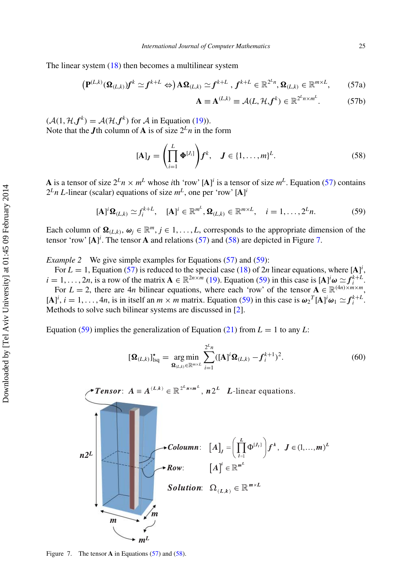<span id="page-25-0"></span>The linear system  $(18)$  then becomes a multilinear system

$$
\left(\mathbf{P}^{(L,k)}(\mathbf{\Omega}_{(L,k)})\mathbf{f}^k\simeq\mathbf{f}^{k+L}\Leftrightarrow\right)\mathbf{A}\mathbf{\Omega}_{(L,k)}\simeq\mathbf{f}^{k+L},\ \mathbf{f}^{k+L}\in\mathbb{R}^{2^L n},\mathbf{\Omega}_{(L,k)}\in\mathbb{R}^{m\times L},\tag{57a}
$$

$$
\mathbf{A} \equiv \mathbf{A}^{(L,k)} \equiv \mathcal{A}(L, \mathcal{H}, \mathbf{f}^k) \in \mathbb{R}^{2^L n \times m^L}.
$$
 (57b)

 $(A(1, \mathcal{H}, f^k) = A(\mathcal{H}, f^k)$  for A in Equation [\(19\)](#page-7-0)). Note that the *J*th column of **A** is of size  $2^L n$  in the form

$$
[\mathbf{A}]_{\boldsymbol{J}} = \left(\prod_{i=1}^{L} \boldsymbol{\Phi}^{[J_i]}\right) \boldsymbol{f}^k, \quad \boldsymbol{J} \in \{1, \dots, m\}^L. \tag{58}
$$

**A** is a tensor of size  $2^L n \times m^L$  whose *i*th 'row' [A]<sup>*i*</sup> is a tensor of size  $m^L$ . Equation (57) contains  $2^L n L$ -linear (scalar) equations of size  $m^L$ , one per 'row' [A]<sup>*i*</sup>

$$
[\mathbf{A}]^{i}\mathbf{\Omega}_{(L,k)} \simeq f_{i}^{k+L}, \quad [\mathbf{A}]^{i} \in \mathbb{R}^{m^{L}}, \mathbf{\Omega}_{(L,k)} \in \mathbb{R}^{m \times L}, \quad i = 1, \ldots, 2^{L}n. \tag{59}
$$

Each column of  $\Omega_{(L,k)}$ ,  $\omega_j \in \mathbb{R}^m$ ,  $j \in 1, \ldots, L$ , corresponds to the appropriate dimension of the tensor 'row'  $[A]$ <sup>*i*</sup>. The tensor A and relations (57) and (58) are depicted in Figure 7.

*Example 2* We give simple examples for Equations (57) and (59):

For  $L = 1$ , Equation (57) is reduced to the special case [\(18\)](#page-7-0) of 2*n* linear equations, where  $[A]^i$ ,  $i = 1, \ldots, 2n$ , is a row of the matrix  $\mathbf{A} \in \mathbb{R}^{2n \times m}$  [\(19\)](#page-7-0). Equation (59) in this case is  $[\mathbf{A}]^i \boldsymbol{\omega} \simeq f_i^{k+L}$ .

For *L* = 2, there are 4*n* bilinear equations, where each 'row' of the tensor  $\mathbf{A} \in \mathbb{R}^{(4n)\times m \times m}$  $[\mathbf{A}]^i$ ,  $i = 1, ..., 4n$ , is in itself an  $m \times m$  matrix. Equation (59) in this case is  $\omega_2^T[\mathbf{A}]^i \omega_1 \simeq f_i^{k+L}$ . Methods to solve such bilinear systems are discussed in [\[2](#page-30-0)].

Equation (59) implies the generalization of Equation [\(21\)](#page-7-0) from  $L = 1$  to any *L*:

$$
[\mathbf{\Omega}_{(L,k)}]_{\text{lsq}}^{\star} = \underset{\mathbf{\Omega}_{(L,k)} \in \mathbb{R}^{m \times L}}{\arg \min} \sum_{i=1}^{2^L n} ([\mathbf{A}]^i \mathbf{\Omega}_{(L,k)} - \mathbf{f}_i^{k+1})^2.
$$
 (60)



Figure 7. The tensor **A** in Equations (57) and (58).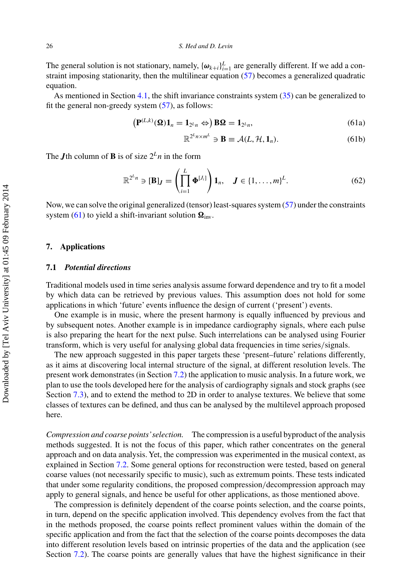<span id="page-26-0"></span>The general solution is not stationary, namely,  $\{\boldsymbol{\omega}_{k+i}\}_{i=1}^L$  are generally different. If we add a constraint imposing stationarity, then the multilinear equation [\(57\)](#page-25-0) becomes a generalized quadratic equation.

As mentioned in Section [4.1,](#page-16-0) the shift invariance constraints system [\(35\)](#page-16-0) can be generalized to fit the general non-greedy system  $(57)$ , as follows:

$$
\left(\mathbf{P}^{(L,k)}(\mathbf{\Omega})\mathbf{1}_n=\mathbf{1}_{2^L n} \Leftrightarrow\right) \mathbf{B} \mathbf{\Omega}=\mathbf{1}_{2^L n},\tag{61a}
$$

$$
\mathbb{R}^{2^L n \times m^L} \ni \mathbf{B} \equiv \mathcal{A}(L, \mathcal{H}, \mathbf{1}_n). \tag{61b}
$$

The *J*th column of **B** is of size  $2^L n$  in the form

$$
\mathbb{R}^{2^L n} \ni [\mathbf{B}]_J = \left(\prod_{i=1}^L \Phi^{[J_i]}\right) \mathbf{1}_n, \quad J \in \{1, \dots, m\}^L. \tag{62}
$$

Now, we can solve the original generalized (tensor) least-squares system [\(57\)](#page-25-0) under the constraints system (61) to yield a shift-invariant solution  $\Omega_{\text{inv}}$ .

# **7. Applications**

#### **7.1** *Potential directions*

Traditional models used in time series analysis assume forward dependence and try to fit a model by which data can be retrieved by previous values. This assumption does not hold for some applications in which 'future' events influence the design of current ('present') events.

One example is in music, where the present harmony is equally influenced by previous and by subsequent notes. Another example is in impedance cardiography signals, where each pulse is also preparing the heart for the next pulse. Such interrelations can be analysed using Fourier transform, which is very useful for analysing global data frequencies in time series*/*signals.

The new approach suggested in this paper targets these 'present–future' relations differently, as it aims at discovering local internal structure of the signal, at different resolution levels. The present work demonstrates (in Section [7.2\)](#page-27-0) the application to music analysis. In a future work, we plan to use the tools developed here for the analysis of cardiography signals and stock graphs (see Section [7.3\)](#page-28-0), and to extend the method to 2D in order to analyse textures. We believe that some classes of textures can be defined, and thus can be analysed by the multilevel approach proposed here.

*Compression and coarse points'selection.* The compression is a useful byproduct of the analysis methods suggested. It is not the focus of this paper, which rather concentrates on the general approach and on data analysis. Yet, the compression was experimented in the musical context, as explained in Section [7.2.](#page-27-0) Some general options for reconstruction were tested, based on general coarse values (not necessarily specific to music), such as extremum points. These tests indicated that under some regularity conditions, the proposed compression*/*decompression approach may apply to general signals, and hence be useful for other applications, as those mentioned above.

The compression is definitely dependent of the coarse points selection, and the coarse points, in turn, depend on the specific application involved. This dependency evolves from the fact that in the methods proposed, the coarse points reflect prominent values within the domain of the specific application and from the fact that the selection of the coarse points decomposes the data into different resolution levels based on intrinsic properties of the data and the application (see Section [7.2\)](#page-27-0). The coarse points are generally values that have the highest significance in their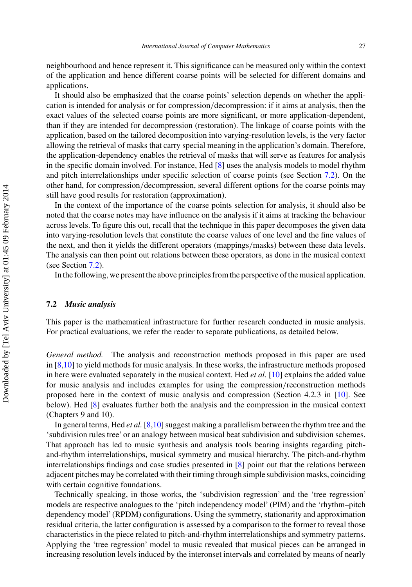<span id="page-27-0"></span>neighbourhood and hence represent it. This significance can be measured only within the context of the application and hence different coarse points will be selected for different domains and applications.

It should also be emphasized that the coarse points' selection depends on whether the application is intended for analysis or for compression*/*decompression: if it aims at analysis, then the exact values of the selected coarse points are more significant, or more application-dependent, than if they are intended for decompression (restoration). The linkage of coarse points with the application, based on the tailored decomposition into varying-resolution levels, is the very factor allowing the retrieval of masks that carry special meaning in the application's domain. Therefore, the application-dependency enables the retrieval of masks that will serve as features for analysis in the specific domain involved. For instance, Hed [\[8\]](#page-30-0) uses the analysis models to model rhythm and pitch interrelationships under specific selection of coarse points (see Section 7.2). On the other hand, for compression*/*decompression, several different options for the coarse points may still have good results for restoration (approximation).

In the context of the importance of the coarse points selection for analysis, it should also be noted that the coarse notes may have influence on the analysis if it aims at tracking the behaviour across levels. To figure this out, recall that the technique in this paper decomposes the given data into varying-resolution levels that constitute the coarse values of one level and the fine values of the next, and then it yields the different operators (mappings*/*masks) between these data levels. The analysis can then point out relations between these operators, as done in the musical context (see Section 7.2).

In the following, we present the above principles from the perspective of the musical application.

#### **7.2** *Music analysis*

This paper is the mathematical infrastructure for further research conducted in music analysis. For practical evaluations, we refer the reader to separate publications, as detailed below.

*General method.* The analysis and reconstruction methods proposed in this paper are used in [\[8,10](#page-30-0)] to yield methods for music analysis. In these works, the infrastructure methods proposed in here were evaluated separately in the musical context. Hed *et al.* [\[10](#page-30-0)] explains the added value for music analysis and includes examples for using the compression*/*reconstruction methods proposed here in the context of music analysis and compression (Section 4.2.3 in [\[10\]](#page-30-0). See below). Hed [\[8](#page-30-0)] evaluates further both the analysis and the compression in the musical context (Chapters 9 and 10).

In general terms, Hed *et al.* [\[8,10](#page-30-0)] suggest making a parallelism between the rhythm tree and the 'subdivision rules tree' or an analogy between musical beat subdivision and subdivision schemes. That approach has led to music synthesis and analysis tools bearing insights regarding pitchand-rhythm interrelationships, musical symmetry and musical hierarchy. The pitch-and-rhythm interrelationships findings and case studies presented in [\[8](#page-30-0)] point out that the relations between adjacent pitches may be correlated with their timing through simple subdivision masks, coinciding with certain cognitive foundations.

Technically speaking, in those works, the 'subdivision regression' and the 'tree regression' models are respective analogues to the 'pitch independency model' (PIM) and the 'rhythm–pitch dependency model' (RPDM) configurations. Using the symmetry, stationarity and approximation residual criteria, the latter configuration is assessed by a comparison to the former to reveal those characteristics in the piece related to pitch-and-rhythm interrelationships and symmetry patterns. Applying the 'tree regression' model to music revealed that musical pieces can be arranged in increasing resolution levels induced by the interonset intervals and correlated by means of nearly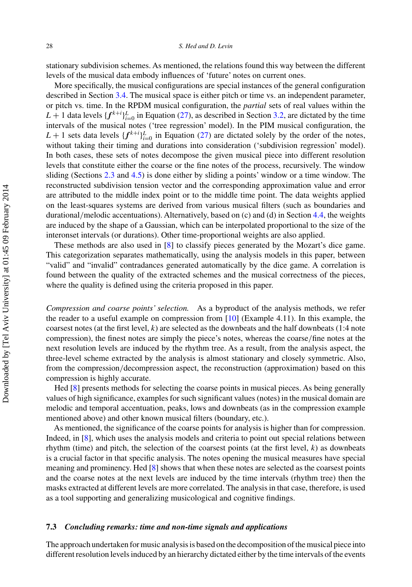#### <span id="page-28-0"></span>28 *S. Hed and D. Levin*

stationary subdivision schemes. As mentioned, the relations found this way between the different levels of the musical data embody influences of 'future' notes on current ones.

More specifically, the musical configurations are special instances of the general configuration described in Section [3.4.](#page-15-0) The musical space is either pitch or time vs. an independent parameter, or pitch vs. time. In the RPDM musical configuration, the *partial* sets of real values within the  $L + 1$  data levels  $\{f^{k+i}\}_{i=0}^L$  in Equation [\(27\)](#page-10-0), as described in Section [3.2,](#page-13-0) are dictated by the time intervals of the musical notes ('tree regression' model). In the PIM musical configuration, the  $L + 1$  sets data levels  $\{f^{k+i}\}_{i=0}^L$  in Equation [\(27\)](#page-10-0) are dictated solely by the order of the notes, without taking their timing and durations into consideration ('subdivision regression' model). In both cases, these sets of notes decompose the given musical piece into different resolution levels that constitute either the coarse or the fine notes of the process, recursively. The window sliding (Sections [2.3](#page-7-0) and [4.5\)](#page-19-0) is done either by sliding a points' window or a time window. The reconstructed subdivision tension vector and the corresponding approximation value and error are attributed to the middle index point or to the middle time point. The data weights applied on the least-squares systems are derived from various musical filters (such as boundaries and durational/melodic accentuations). Alternatively, based on (c) and (d) in Section [4.4,](#page-18-0) the weights are induced by the shape of a Gaussian, which can be interpolated proportional to the size of the interonset intervals (or durations). Other time-proportional weights are also applied.

These methods are also used in [\[8\]](#page-30-0) to classify pieces generated by the Mozart's dice game. This categorization separates mathematically, using the analysis models in this paper, between "valid" and "invalid" contradances generated automatically by the dice game. A correlation is found between the quality of the extracted schemes and the musical correctness of the pieces, where the quality is defined using the criteria proposed in this paper.

*Compression and coarse points' selection.* As a byproduct of the analysis methods, we refer the reader to a useful example on compression from  $[10]$  $[10]$  (Example 4.11). In this example, the coarsest notes (at the first level,  $k$ ) are selected as the downbeats and the half downbeats (1:4 note compression), the finest notes are simply the piece's notes, whereas the coarse*/*fine notes at the next resolution levels are induced by the rhythm tree. As a result, from the analysis aspect, the three-level scheme extracted by the analysis is almost stationary and closely symmetric. Also, from the compression*/*decompression aspect, the reconstruction (approximation) based on this compression is highly accurate.

Hed [\[8](#page-30-0)] presents methods for selecting the coarse points in musical pieces. As being generally values of high significance, examples for such significant values (notes) in the musical domain are melodic and temporal accentuation, peaks, lows and downbeats (as in the compression example mentioned above) and other known musical filters (boundary, etc.).

As mentioned, the significance of the coarse points for analysis is higher than for compression. Indeed, in [\[8\]](#page-30-0), which uses the analysis models and criteria to point out special relations between rhythm (time) and pitch, the selection of the coarsest points (at the first level, *k*) as downbeats is a crucial factor in that specific analysis. The notes opening the musical measures have special meaning and prominency. Hed [\[8\]](#page-30-0) shows that when these notes are selected as the coarsest points and the coarse notes at the next levels are induced by the time intervals (rhythm tree) then the masks extracted at different levels are more correlated. The analysis in that case, therefore, is used as a tool supporting and generalizing musicological and cognitive findings.

# **7.3** *Concluding remarks: time and non-time signals and applications*

The approach undertaken for music analysis is based on the decomposition of the musical piece into different resolution levels induced by an hierarchy dictated either by the time intervals of the events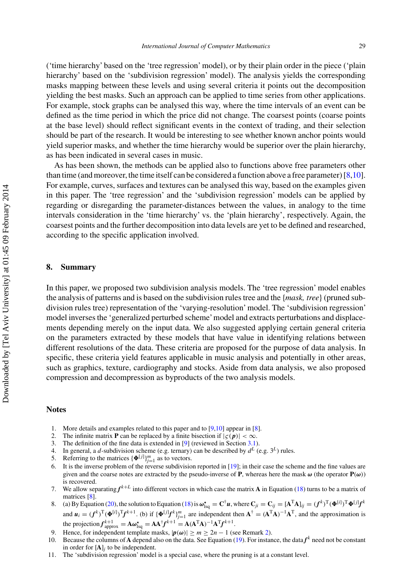<span id="page-29-0"></span>('time hierarchy' based on the 'tree regression' model), or by their plain order in the piece ('plain hierarchy' based on the 'subdivision regression' model). The analysis yields the corresponding masks mapping between these levels and using several criteria it points out the decomposition yielding the best masks. Such an approach can be applied to time series from other applications. For example, stock graphs can be analysed this way, where the time intervals of an event can be defined as the time period in which the price did not change. The coarsest points (coarse points at the base level) should reflect significant events in the context of trading, and their selection should be part of the research. It would be interesting to see whether known anchor points would yield superior masks, and whether the time hierarchy would be superior over the plain hierarchy, as has been indicated in several cases in music.

As has been shown, the methods can be applied also to functions above free parameters other than time (and moreover, the time itself can be considered a function above a free parameter) [\[8,10](#page-30-0)]. For example, curves, surfaces and textures can be analysed this way, based on the examples given in this paper. The 'tree regression' and the 'subdivision regression' models can be applied by regarding or disregarding the parameter-distances between the values, in analogy to the time intervals consideration in the 'time hierarchy' vs. the 'plain hierarchy', respectively. Again, the coarsest points and the further decomposition into data levels are yet to be defined and researched, according to the specific application involved.

#### **8. Summary**

In this paper, we proposed two subdivision analysis models. The 'tree regression' model enables the analysis of patterns and is based on the subdivision rules tree and the {*mask, tree*} (pruned subdivision rules tree) representation of the 'varying-resolution' model. The 'subdivision regression' model inverses the 'generalized perturbed scheme'model and extracts perturbations and displacements depending merely on the input data. We also suggested applying certain general criteria on the parameters extracted by these models that have value in identifying relations between different resolutions of the data. These criteria are proposed for the purpose of data analysis. In specific, these criteria yield features applicable in music analysis and potentially in other areas, such as graphics, texture, cardiography and stocks. Aside from data analysis, we also proposed compression and decompression as byproducts of the two analysis models.

# **Notes**

- 1. More details and examples related to this paper and to [\[9,10](#page-30-0)] appear in [\[8](#page-30-0)].
- 2. The infinite matrix **P** can be replaced by a finite bisection if  $|\zeta(\mathbf{p})| < \infty$ .
- 3. The definition of the fine data is extended in [\[9\]](#page-30-0) (reviewed in Section [3.1\)](#page-11-0).
- 4. In general, a *d*-subdivision scheme (e.g. ternary) can be described by  $d^L$  (e.g.  $3^L$ ) rules.
- 5. Referring to the matrices  $\{\Phi^{[j]}\}_{j=1}^m$  as to vectors.
- 6. It is the inverse problem of the reverse subdivision reported in [\[19\]](#page-30-0); in their case the scheme and the fine values are given and the coarse notes are extracted by the pseudo-inverse of **P**, whereas here the mask  $\omega$  (the operator  $P(\omega)$ ) is recovered.
- 7. We allow separating  $f^{k+L}$  into different vectors in which case the matrix **A** in Equation [\(18\)](#page-7-0) turns to be a matrix of matrices [\[8](#page-30-0)].
- 8. (a) By Equation [\(20\)](#page-7-0), the solution to Equation [\(18\)](#page-7-0) is  $\boldsymbol{\omega}_{\text{lsq}}^{\star} = \mathbf{C}^{\dagger} \boldsymbol{u}$ , where  $\mathbf{C}_{ji} = \mathbf{C}_{ij} = [\mathbf{A}^{\text{T}} \mathbf{A}]_{ij} = (f^k)^{\text{T}} (\boldsymbol{\Phi}^{[i]})^{\text{T}} \boldsymbol{\Phi}^{[j]} f^k$ and  $u_i = (f^k)^\text{T} (\Phi^{[i]})^\text{T} f^{k+1}$ . (b) if  $\{\Phi^{[j]} f^k\}_{j=1}^m$  are independent then  $A^\dagger = (A^\text{T} A)^{-1} A^\text{T}$ , and the approximation is the projection  $f_{\text{approx}}^{k+1} = \mathbf{A}\boldsymbol{\omega}_{\text{lsq}}^{\star} = \mathbf{A}\mathbf{A}^{\dagger}f^{k+1} = \mathbf{A}(\mathbf{A}^{\text{T}}\mathbf{A})^{-1}\mathbf{A}^{\text{T}}f^{k+1}.$
- 9. Hence, for independent template masks,  $|p(\omega)| \ge m \ge 2n 1$  (see Remark [2\)](#page-9-0).<br>10. Because the columns of A depend also on the data. See Equation (19) For instan
- Because the columns of  $A$  depend also on the data. See Equation [\(19\)](#page-7-0). For instance, the data  $f^k$  need not be constant in order for  $[A]$ *j* to be independent.
- 11. The 'subdivision regression' model is a special case, where the pruning is at a constant level.